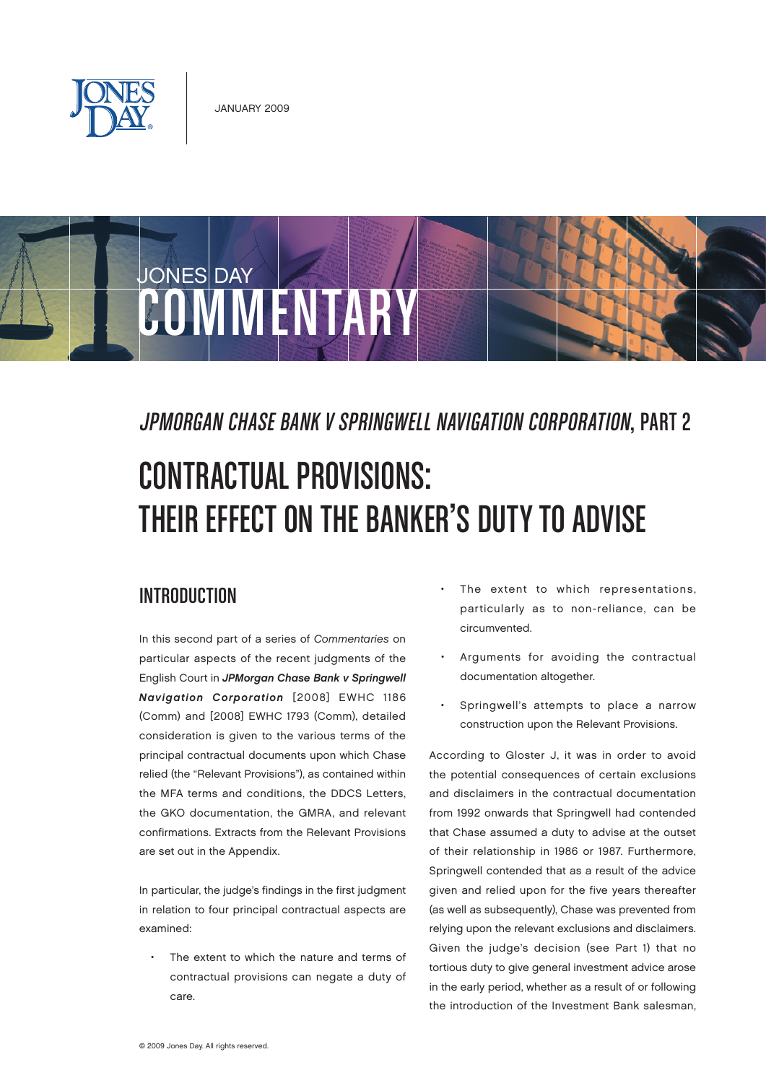



# JPMorgan Chase Bank v Springwell Navigation Corporation, Part 2

# Contractual Provisions: THEIR EFFECT ON THE BANKER'S DUTY TO ADVISE

#### Introduction

In this second part of a series of Commentaries on particular aspects of the recent judgments of the English Court in JPMorgan Chase Bank v Springwell Navigation Corporation [2008] EWHC 1186 (Comm) and [2008] EWHC 1793 (Comm), detailed consideration is given to the various terms of the principal contractual documents upon which Chase relied (the "Relevant Provisions"), as contained within the MFA terms and conditions, the DDCS Letters, the GKO documentation, the GMRA, and relevant confirmations. Extracts from the Relevant Provisions are set out in the Appendix.

In particular, the judge's findings in the first judgment in relation to four principal contractual aspects are examined:

The extent to which the nature and terms of contractual provisions can negate a duty of care.

- The extent to which representations, particularly as to non-reliance, can be circumvented.
- Arguments for avoiding the contractual documentation altogether.
- Springwell's attempts to place a narrow construction upon the Relevant Provisions.

According to Gloster J, it was in order to avoid the potential consequences of certain exclusions and disclaimers in the contractual documentation from 1992 onwards that Springwell had contended that Chase assumed a duty to advise at the outset of their relationship in 1986 or 1987. Furthermore, Springwell contended that as a result of the advice given and relied upon for the five years thereafter (as well as subsequently), Chase was prevented from relying upon the relevant exclusions and disclaimers. Given the judge's decision (see Part 1) that no tortious duty to give general investment advice arose in the early period, whether as a result of or following the introduction of the Investment Bank salesman,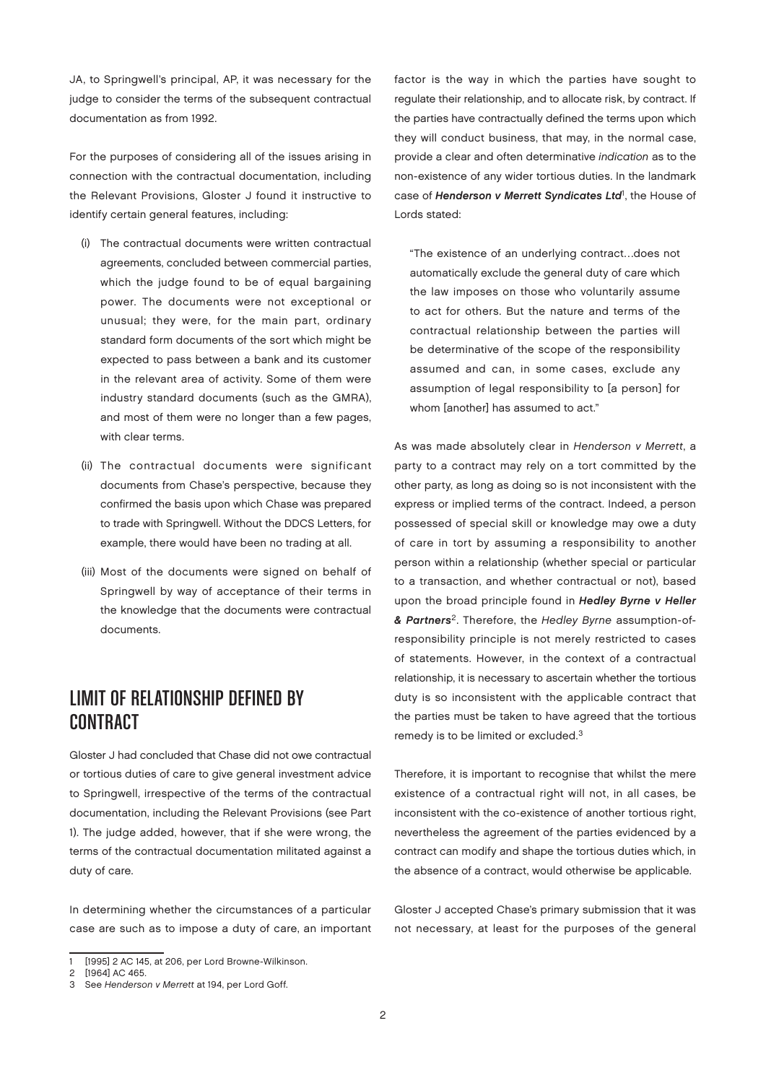JA, to Springwell's principal, AP, it was necessary for the judge to consider the terms of the subsequent contractual documentation as from 1992.

For the purposes of considering all of the issues arising in connection with the contractual documentation, including the Relevant Provisions, Gloster J found it instructive to identify certain general features, including:

- (i) The contractual documents were written contractual agreements, concluded between commercial parties, which the judge found to be of equal bargaining power. The documents were not exceptional or unusual; they were, for the main part, ordinary standard form documents of the sort which might be expected to pass between a bank and its customer in the relevant area of activity. Some of them were industry standard documents (such as the GMRA), and most of them were no longer than a few pages, with clear terms.
- (ii) The contractual documents were significant documents from Chase's perspective, because they confirmed the basis upon which Chase was prepared to trade with Springwell. Without the DDCS Letters, for example, there would have been no trading at all.
- (iii) Most of the documents were signed on behalf of Springwell by way of acceptance of their terms in the knowledge that the documents were contractual documents.

## Limit of Relationship Defined by **CONTRACT**

Gloster J had concluded that Chase did not owe contractual or tortious duties of care to give general investment advice to Springwell, irrespective of the terms of the contractual documentation, including the Relevant Provisions (see Part 1). The judge added, however, that if she were wrong, the terms of the contractual documentation militated against a duty of care.

In determining whether the circumstances of a particular case are such as to impose a duty of care, an important factor is the way in which the parties have sought to regulate their relationship, and to allocate risk, by contract. If the parties have contractually defined the terms upon which they will conduct business, that may, in the normal case, provide a clear and often determinative indication as to the non-existence of any wider tortious duties. In the landmark case of Henderson v Merrett Syndicates Ltd<sup>1</sup>, the House of Lords stated:

"The existence of an underlying contract…does not automatically exclude the general duty of care which the law imposes on those who voluntarily assume to act for others. But the nature and terms of the contractual relationship between the parties will be determinative of the scope of the responsibility assumed and can, in some cases, exclude any assumption of legal responsibility to [a person] for whom [another] has assumed to act."

As was made absolutely clear in Henderson v Merrett, a party to a contract may rely on a tort committed by the other party, as long as doing so is not inconsistent with the express or implied terms of the contract. Indeed, a person possessed of special skill or knowledge may owe a duty of care in tort by assuming a responsibility to another person within a relationship (whether special or particular to a transaction, and whether contractual or not), based upon the broad principle found in Hedley Byrne v Heller & Partners<sup>2</sup>. Therefore, the Hedley Byrne assumption-ofresponsibility principle is not merely restricted to cases of statements. However, in the context of a contractual relationship, it is necessary to ascertain whether the tortious duty is so inconsistent with the applicable contract that the parties must be taken to have agreed that the tortious remedy is to be limited or excluded.3

Therefore, it is important to recognise that whilst the mere existence of a contractual right will not, in all cases, be inconsistent with the co-existence of another tortious right, nevertheless the agreement of the parties evidenced by a contract can modify and shape the tortious duties which, in the absence of a contract, would otherwise be applicable.

Gloster J accepted Chase's primary submission that it was not necessary, at least for the purposes of the general

<sup>1</sup> [1995] 2 AC 145, at 206, per Lord Browne-Wilkinson.

<sup>2</sup> [1964] AC 465.

<sup>3</sup> See Henderson v Merrett at 194, per Lord Goff.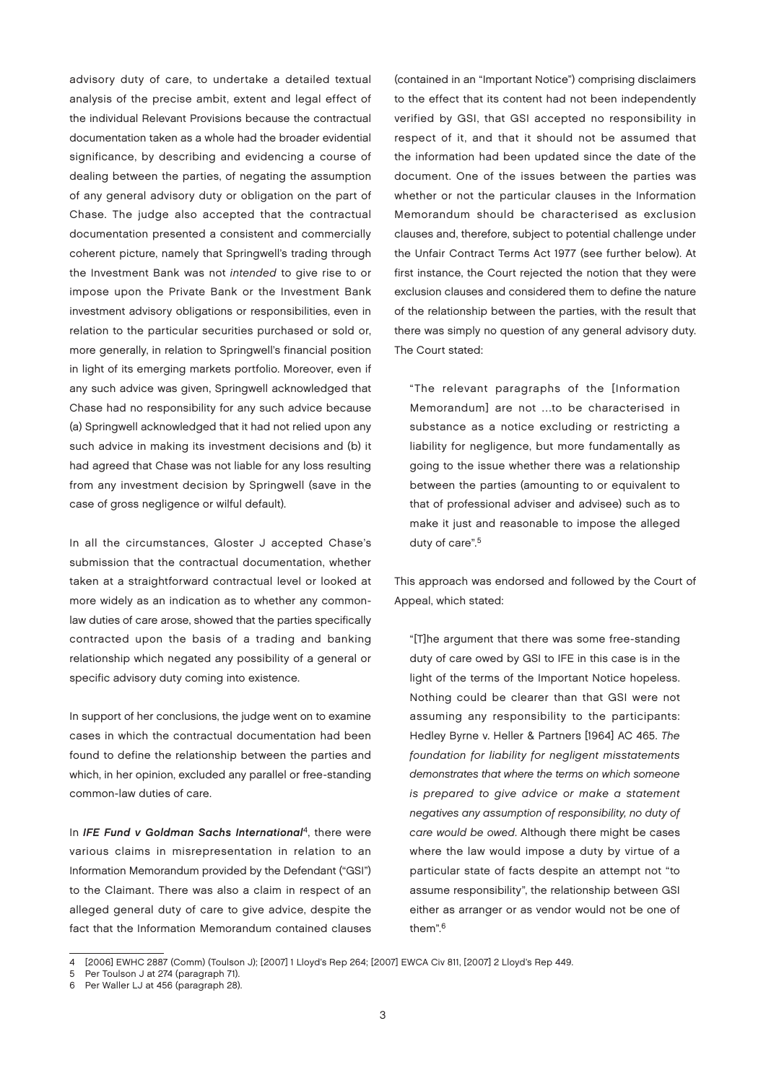advisory duty of care, to undertake a detailed textual analysis of the precise ambit, extent and legal effect of the individual Relevant Provisions because the contractual documentation taken as a whole had the broader evidential significance, by describing and evidencing a course of dealing between the parties, of negating the assumption of any general advisory duty or obligation on the part of Chase. The judge also accepted that the contractual documentation presented a consistent and commercially coherent picture, namely that Springwell's trading through the Investment Bank was not intended to give rise to or impose upon the Private Bank or the Investment Bank investment advisory obligations or responsibilities, even in relation to the particular securities purchased or sold or, more generally, in relation to Springwell's financial position in light of its emerging markets portfolio. Moreover, even if any such advice was given, Springwell acknowledged that Chase had no responsibility for any such advice because (a) Springwell acknowledged that it had not relied upon any such advice in making its investment decisions and (b) it had agreed that Chase was not liable for any loss resulting from any investment decision by Springwell (save in the case of gross negligence or wilful default).

In all the circumstances, Gloster J accepted Chase's submission that the contractual documentation, whether taken at a straightforward contractual level or looked at more widely as an indication as to whether any commonlaw duties of care arose, showed that the parties specifically contracted upon the basis of a trading and banking relationship which negated any possibility of a general or specific advisory duty coming into existence.

In support of her conclusions, the judge went on to examine cases in which the contractual documentation had been found to define the relationship between the parties and which, in her opinion, excluded any parallel or free-standing common-law duties of care.

In IFE Fund v Goldman Sachs International<sup>4</sup>, there were various claims in misrepresentation in relation to an Information Memorandum provided by the Defendant ("GSI") to the Claimant. There was also a claim in respect of an alleged general duty of care to give advice, despite the fact that the Information Memorandum contained clauses

(contained in an "Important Notice") comprising disclaimers to the effect that its content had not been independently verified by GSI, that GSI accepted no responsibility in respect of it, and that it should not be assumed that the information had been updated since the date of the document. One of the issues between the parties was whether or not the particular clauses in the Information Memorandum should be characterised as exclusion clauses and, therefore, subject to potential challenge under the Unfair Contract Terms Act 1977 (see further below). At first instance, the Court rejected the notion that they were exclusion clauses and considered them to define the nature of the relationship between the parties, with the result that there was simply no question of any general advisory duty. The Court stated:

"The relevant paragraphs of the [Information Memorandum] are not …to be characterised in substance as a notice excluding or restricting a liability for negligence, but more fundamentally as going to the issue whether there was a relationship between the parties (amounting to or equivalent to that of professional adviser and advisee) such as to make it just and reasonable to impose the alleged duty of care".<sup>5</sup>

This approach was endorsed and followed by the Court of Appeal, which stated:

"[T]he argument that there was some free-standing duty of care owed by GSI to IFE in this case is in the light of the terms of the Important Notice hopeless. Nothing could be clearer than that GSI were not assuming any responsibility to the participants: Hedley Byrne v. Heller & Partners [1964] AC 465. The foundation for liability for negligent misstatements demonstrates that where the terms on which someone is prepared to give advice or make a statement negatives any assumption of responsibility, no duty of care would be owed. Although there might be cases where the law would impose a duty by virtue of a particular state of facts despite an attempt not "to assume responsibility", the relationship between GSI either as arranger or as vendor would not be one of them".6

<sup>4 [2006]</sup> EWHC 2887 (Comm) (Toulson J); [2007] 1 Lloyd's Rep 264; [2007] EWCA Civ 811, [2007] 2 Lloyd's Rep 449.

<sup>5</sup> Per Toulson J at 274 (paragraph 71).

<sup>6</sup> Per Waller LJ at 456 (paragraph 28).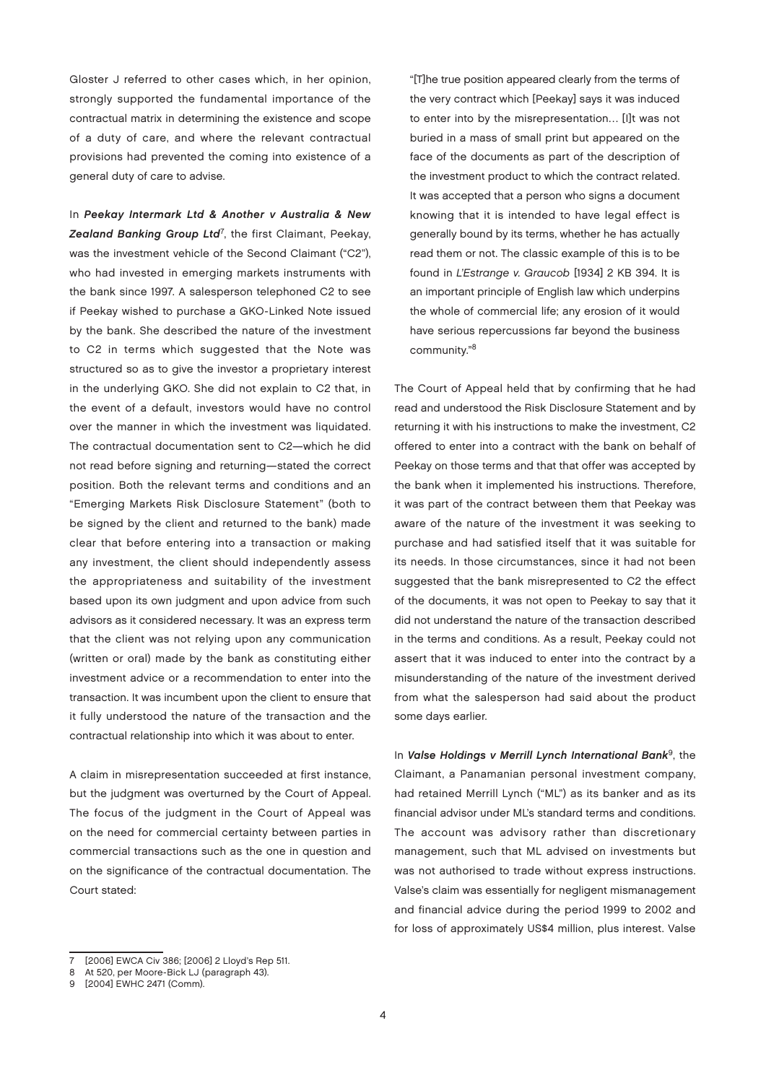Gloster J referred to other cases which, in her opinion, strongly supported the fundamental importance of the contractual matrix in determining the existence and scope of a duty of care, and where the relevant contractual provisions had prevented the coming into existence of a general duty of care to advise.

In Peekay Intermark Ltd & Another v Australia & New Zealand Banking Group Ltd<sup>7</sup>, the first Claimant, Peekay, was the investment vehicle of the Second Claimant ("C2"), who had invested in emerging markets instruments with the bank since 1997. A salesperson telephoned C2 to see if Peekay wished to purchase a GKO-Linked Note issued by the bank. She described the nature of the investment to C2 in terms which suggested that the Note was structured so as to give the investor a proprietary interest in the underlying GKO. She did not explain to C2 that, in the event of a default, investors would have no control over the manner in which the investment was liquidated. The contractual documentation sent to C2—which he did not read before signing and returning—stated the correct position. Both the relevant terms and conditions and an "Emerging Markets Risk Disclosure Statement" (both to be signed by the client and returned to the bank) made clear that before entering into a transaction or making any investment, the client should independently assess the appropriateness and suitability of the investment based upon its own judgment and upon advice from such advisors as it considered necessary. It was an express term that the client was not relying upon any communication (written or oral) made by the bank as constituting either investment advice or a recommendation to enter into the transaction. It was incumbent upon the client to ensure that it fully understood the nature of the transaction and the contractual relationship into which it was about to enter.

A claim in misrepresentation succeeded at first instance, but the judgment was overturned by the Court of Appeal. The focus of the judgment in the Court of Appeal was on the need for commercial certainty between parties in commercial transactions such as the one in question and on the significance of the contractual documentation. The Court stated:

"[T]he true position appeared clearly from the terms of the very contract which [Peekay] says it was induced to enter into by the misrepresentation… [I]t was not buried in a mass of small print but appeared on the face of the documents as part of the description of the investment product to which the contract related. It was accepted that a person who signs a document knowing that it is intended to have legal effect is generally bound by its terms, whether he has actually read them or not. The classic example of this is to be found in L'Estrange v. Graucob [1934] 2 KB 394. It is an important principle of English law which underpins the whole of commercial life; any erosion of it would have serious repercussions far beyond the business community."<sup>8</sup>

The Court of Appeal held that by confirming that he had read and understood the Risk Disclosure Statement and by returning it with his instructions to make the investment, C2 offered to enter into a contract with the bank on behalf of Peekay on those terms and that that offer was accepted by the bank when it implemented his instructions. Therefore, it was part of the contract between them that Peekay was aware of the nature of the investment it was seeking to purchase and had satisfied itself that it was suitable for its needs. In those circumstances, since it had not been suggested that the bank misrepresented to C2 the effect of the documents, it was not open to Peekay to say that it did not understand the nature of the transaction described in the terms and conditions. As a result, Peekay could not assert that it was induced to enter into the contract by a misunderstanding of the nature of the investment derived from what the salesperson had said about the product some days earlier.

In Valse Holdings v Merrill Lynch International Bank<sup>9</sup>, the Claimant, a Panamanian personal investment company, had retained Merrill Lynch ("ML") as its banker and as its financial advisor under ML's standard terms and conditions. The account was advisory rather than discretionary management, such that ML advised on investments but was not authorised to trade without express instructions. Valse's claim was essentially for negligent mismanagement and financial advice during the period 1999 to 2002 and for loss of approximately US\$4 million, plus interest. Valse

<sup>7</sup> [2006] EWCA Civ 386; [2006] 2 Lloyd's Rep 511.

<sup>8</sup> At 520, per Moore-Bick LJ (paragraph 43).

<sup>9</sup> [2004] EWHC 2471 (Comm).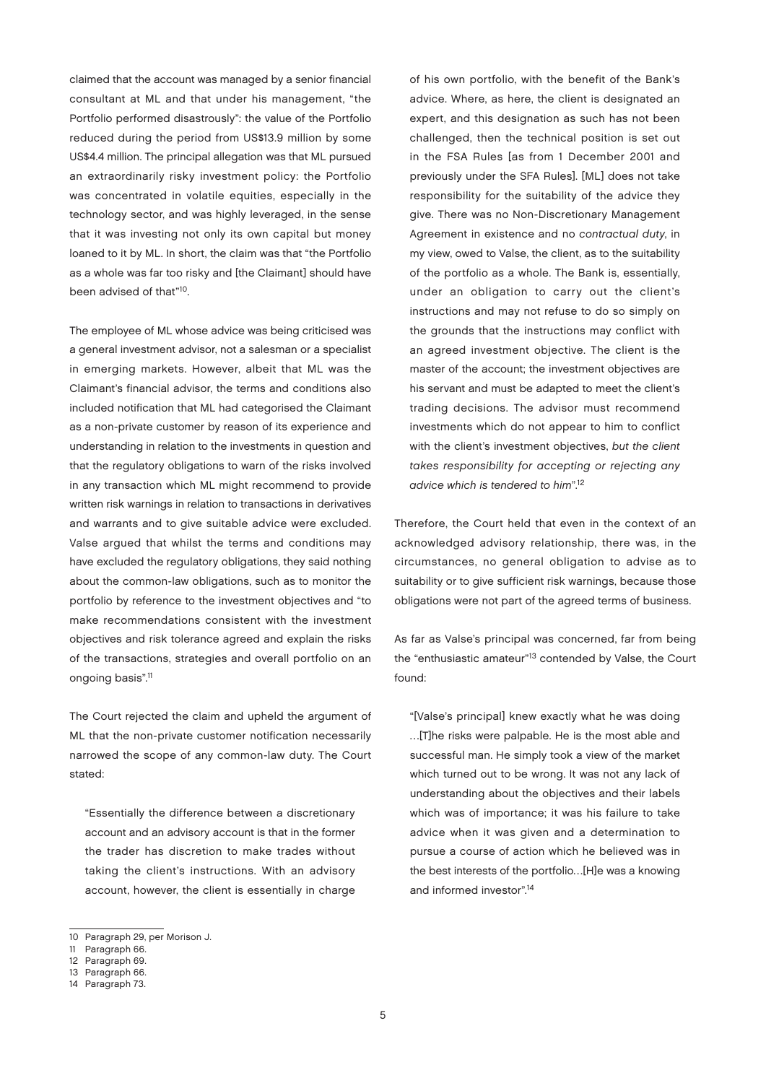claimed that the account was managed by a senior financial consultant at ML and that under his management, "the Portfolio performed disastrously": the value of the Portfolio reduced during the period from US\$13.9 million by some US\$4.4 million. The principal allegation was that ML pursued an extraordinarily risky investment policy: the Portfolio was concentrated in volatile equities, especially in the technology sector, and was highly leveraged, in the sense that it was investing not only its own capital but money loaned to it by ML. In short, the claim was that "the Portfolio as a whole was far too risky and [the Claimant] should have been advised of that"10.

The employee of ML whose advice was being criticised was a general investment advisor, not a salesman or a specialist in emerging markets. However, albeit that ML was the Claimant's financial advisor, the terms and conditions also included notification that ML had categorised the Claimant as a non-private customer by reason of its experience and understanding in relation to the investments in question and that the regulatory obligations to warn of the risks involved in any transaction which ML might recommend to provide written risk warnings in relation to transactions in derivatives and warrants and to give suitable advice were excluded. Valse argued that whilst the terms and conditions may have excluded the regulatory obligations, they said nothing about the common-law obligations, such as to monitor the portfolio by reference to the investment objectives and "to make recommendations consistent with the investment objectives and risk tolerance agreed and explain the risks of the transactions, strategies and overall portfolio on an ongoing basis".11

The Court rejected the claim and upheld the argument of ML that the non-private customer notification necessarily narrowed the scope of any common-law duty. The Court stated:

"Essentially the difference between a discretionary account and an advisory account is that in the former the trader has discretion to make trades without taking the client's instructions. With an advisory account, however, the client is essentially in charge

of his own portfolio, with the benefit of the Bank's advice. Where, as here, the client is designated an expert, and this designation as such has not been challenged, then the technical position is set out in the FSA Rules [as from 1 December 2001 and previously under the SFA Rules]. [ML] does not take responsibility for the suitability of the advice they give. There was no Non-Discretionary Management Agreement in existence and no contractual duty, in my view, owed to Valse, the client, as to the suitability of the portfolio as a whole. The Bank is, essentially, under an obligation to carry out the client's instructions and may not refuse to do so simply on the grounds that the instructions may conflict with an agreed investment objective. The client is the master of the account; the investment objectives are his servant and must be adapted to meet the client's trading decisions. The advisor must recommend investments which do not appear to him to conflict with the client's investment objectives, but the client takes responsibility for accepting or rejecting any advice which is tendered to him".<sup>12</sup>

Therefore, the Court held that even in the context of an acknowledged advisory relationship, there was, in the circumstances, no general obligation to advise as to suitability or to give sufficient risk warnings, because those obligations were not part of the agreed terms of business.

As far as Valse's principal was concerned, far from being the "enthusiastic amateur"13 contended by Valse, the Court found:

"[Valse's principal] knew exactly what he was doing …[T]he risks were palpable. He is the most able and successful man. He simply took a view of the market which turned out to be wrong. It was not any lack of understanding about the objectives and their labels which was of importance; it was his failure to take advice when it was given and a determination to pursue a course of action which he believed was in the best interests of the portfolio…[H]e was a knowing and informed investor".14

<sup>10</sup> Paragraph 29, per Morison J.

<sup>11</sup> Paragraph 66.

<sup>12</sup> Paragraph 69.

<sup>13</sup> Paragraph 66.

<sup>14</sup> Paragraph 73.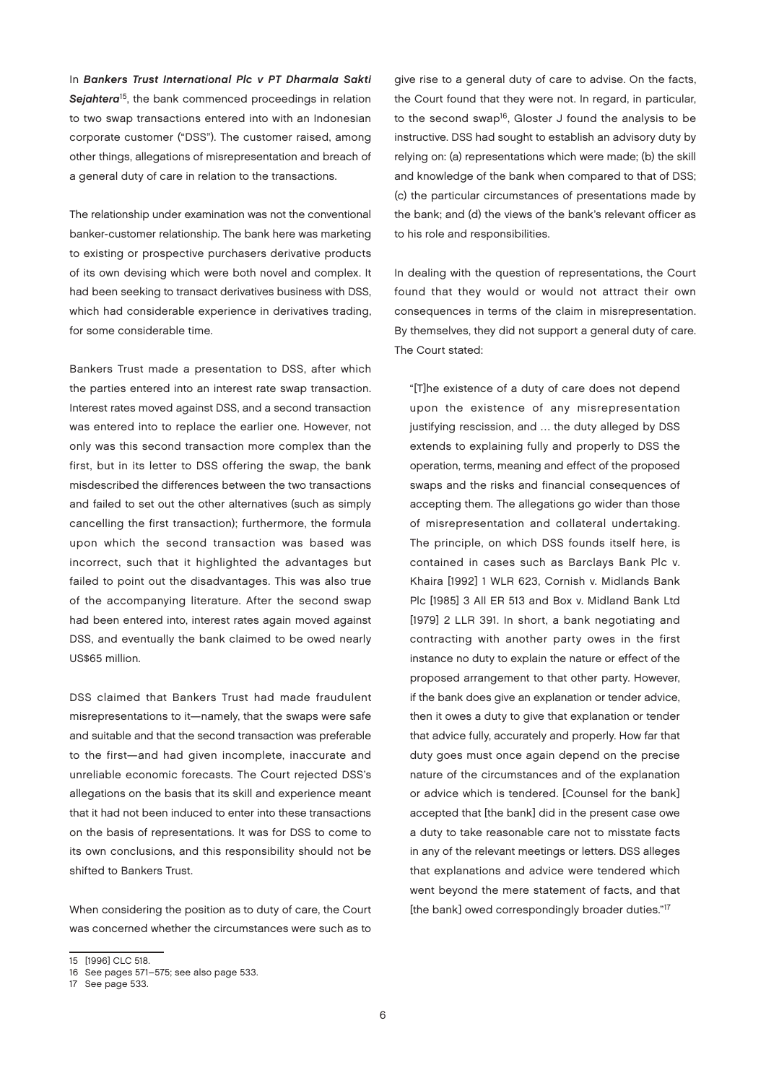In Bankers Trust International Plc v PT Dharmala Sakti Sejahtera<sup>15</sup>, the bank commenced proceedings in relation to two swap transactions entered into with an Indonesian corporate customer ("DSS"). The customer raised, among other things, allegations of misrepresentation and breach of a general duty of care in relation to the transactions.

The relationship under examination was not the conventional banker-customer relationship. The bank here was marketing to existing or prospective purchasers derivative products of its own devising which were both novel and complex. It had been seeking to transact derivatives business with DSS, which had considerable experience in derivatives trading, for some considerable time.

Bankers Trust made a presentation to DSS, after which the parties entered into an interest rate swap transaction. Interest rates moved against DSS, and a second transaction was entered into to replace the earlier one. However, not only was this second transaction more complex than the first, but in its letter to DSS offering the swap, the bank misdescribed the differences between the two transactions and failed to set out the other alternatives (such as simply cancelling the first transaction); furthermore, the formula upon which the second transaction was based was incorrect, such that it highlighted the advantages but failed to point out the disadvantages. This was also true of the accompanying literature. After the second swap had been entered into, interest rates again moved against DSS, and eventually the bank claimed to be owed nearly US\$65 million.

DSS claimed that Bankers Trust had made fraudulent misrepresentations to it—namely, that the swaps were safe and suitable and that the second transaction was preferable to the first—and had given incomplete, inaccurate and unreliable economic forecasts. The Court rejected DSS's allegations on the basis that its skill and experience meant that it had not been induced to enter into these transactions on the basis of representations. It was for DSS to come to its own conclusions, and this responsibility should not be shifted to Bankers Trust.

When considering the position as to duty of care, the Court was concerned whether the circumstances were such as to In dealing with the question of representations, the Court found that they would or would not attract their own consequences in terms of the claim in misrepresentation. By themselves, they did not support a general duty of care. The Court stated:

"[T]he existence of a duty of care does not depend upon the existence of any misrepresentation justifying rescission, and … the duty alleged by DSS extends to explaining fully and properly to DSS the operation, terms, meaning and effect of the proposed swaps and the risks and financial consequences of accepting them. The allegations go wider than those of misrepresentation and collateral undertaking. The principle, on which DSS founds itself here, is contained in cases such as Barclays Bank Plc v. Khaira [1992] 1 WLR 623, Cornish v. Midlands Bank Plc [1985] 3 All ER 513 and Box v. Midland Bank Ltd [1979] 2 LLR 391. In short, a bank negotiating and contracting with another party owes in the first instance no duty to explain the nature or effect of the proposed arrangement to that other party. However, if the bank does give an explanation or tender advice, then it owes a duty to give that explanation or tender that advice fully, accurately and properly. How far that duty goes must once again depend on the precise nature of the circumstances and of the explanation or advice which is tendered. [Counsel for the bank] accepted that [the bank] did in the present case owe a duty to take reasonable care not to misstate facts in any of the relevant meetings or letters. DSS alleges that explanations and advice were tendered which went beyond the mere statement of facts, and that [the bank] owed correspondingly broader duties."<sup>17</sup>

give rise to a general duty of care to advise. On the facts, the Court found that they were not. In regard, in particular, to the second swap<sup>16</sup>, Gloster J found the analysis to be instructive. DSS had sought to establish an advisory duty by relying on: (a) representations which were made; (b) the skill and knowledge of the bank when compared to that of DSS; (c) the particular circumstances of presentations made by the bank; and (d) the views of the bank's relevant officer as to his role and responsibilities.

<sup>15</sup> [1996] CLC 518.

<sup>16</sup> See pages 571–575; see also page 533.

<sup>17</sup> See page 533.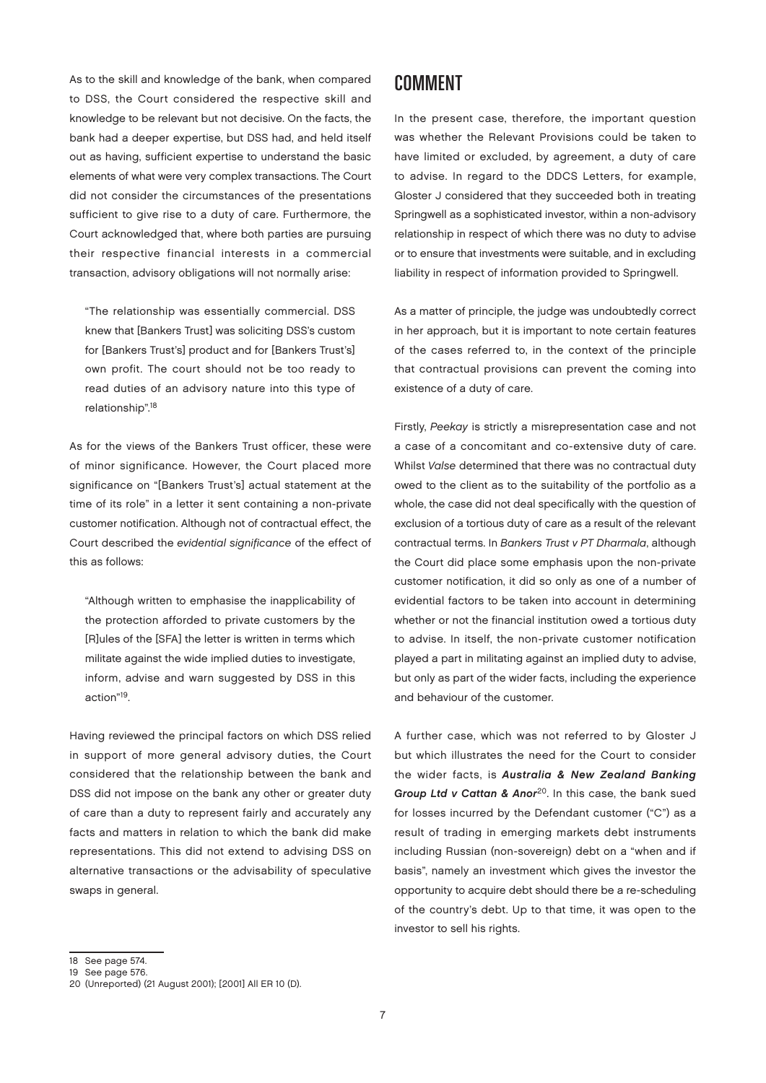As to the skill and knowledge of the bank, when compared to DSS, the Court considered the respective skill and knowledge to be relevant but not decisive. On the facts, the bank had a deeper expertise, but DSS had, and held itself out as having, sufficient expertise to understand the basic elements of what were very complex transactions. The Court did not consider the circumstances of the presentations sufficient to give rise to a duty of care. Furthermore, the Court acknowledged that, where both parties are pursuing their respective financial interests in a commercial transaction, advisory obligations will not normally arise:

"The relationship was essentially commercial. DSS knew that [Bankers Trust] was soliciting DSS's custom for [Bankers Trust's] product and for [Bankers Trust's] own profit. The court should not be too ready to read duties of an advisory nature into this type of relationship".18

As for the views of the Bankers Trust officer, these were of minor significance. However, the Court placed more significance on "[Bankers Trust's] actual statement at the time of its role" in a letter it sent containing a non-private customer notification. Although not of contractual effect, the Court described the evidential significance of the effect of this as follows:

"Although written to emphasise the inapplicability of the protection afforded to private customers by the [R]ules of the [SFA] the letter is written in terms which militate against the wide implied duties to investigate, inform, advise and warn suggested by DSS in this action"19.

Having reviewed the principal factors on which DSS relied in support of more general advisory duties, the Court considered that the relationship between the bank and DSS did not impose on the bank any other or greater duty of care than a duty to represent fairly and accurately any facts and matters in relation to which the bank did make representations. This did not extend to advising DSS on alternative transactions or the advisability of speculative swaps in general.

#### **COMMENT**

In the present case, therefore, the important question was whether the Relevant Provisions could be taken to have limited or excluded, by agreement, a duty of care to advise. In regard to the DDCS Letters, for example, Gloster J considered that they succeeded both in treating Springwell as a sophisticated investor, within a non-advisory relationship in respect of which there was no duty to advise or to ensure that investments were suitable, and in excluding liability in respect of information provided to Springwell.

As a matter of principle, the judge was undoubtedly correct in her approach, but it is important to note certain features of the cases referred to, in the context of the principle that contractual provisions can prevent the coming into existence of a duty of care.

Firstly, Peekay is strictly a misrepresentation case and not a case of a concomitant and co-extensive duty of care. Whilst Valse determined that there was no contractual duty owed to the client as to the suitability of the portfolio as a whole, the case did not deal specifically with the question of exclusion of a tortious duty of care as a result of the relevant contractual terms. In Bankers Trust v PT Dharmala, although the Court did place some emphasis upon the non-private customer notification, it did so only as one of a number of evidential factors to be taken into account in determining whether or not the financial institution owed a tortious duty to advise. In itself, the non-private customer notification played a part in militating against an implied duty to advise, but only as part of the wider facts, including the experience and behaviour of the customer.

A further case, which was not referred to by Gloster J but which illustrates the need for the Court to consider the wider facts, is Australia & New Zealand Banking Group Ltd v Cattan & Anor<sup>20</sup>. In this case, the bank sued for losses incurred by the Defendant customer ("C") as a result of trading in emerging markets debt instruments including Russian (non-sovereign) debt on a "when and if basis", namely an investment which gives the investor the opportunity to acquire debt should there be a re-scheduling of the country's debt. Up to that time, it was open to the investor to sell his rights.

<sup>18</sup> See page 574.

<sup>19</sup> See page 576.

<sup>20</sup> (Unreported) (21 August 2001); [2001] All ER 10 (D).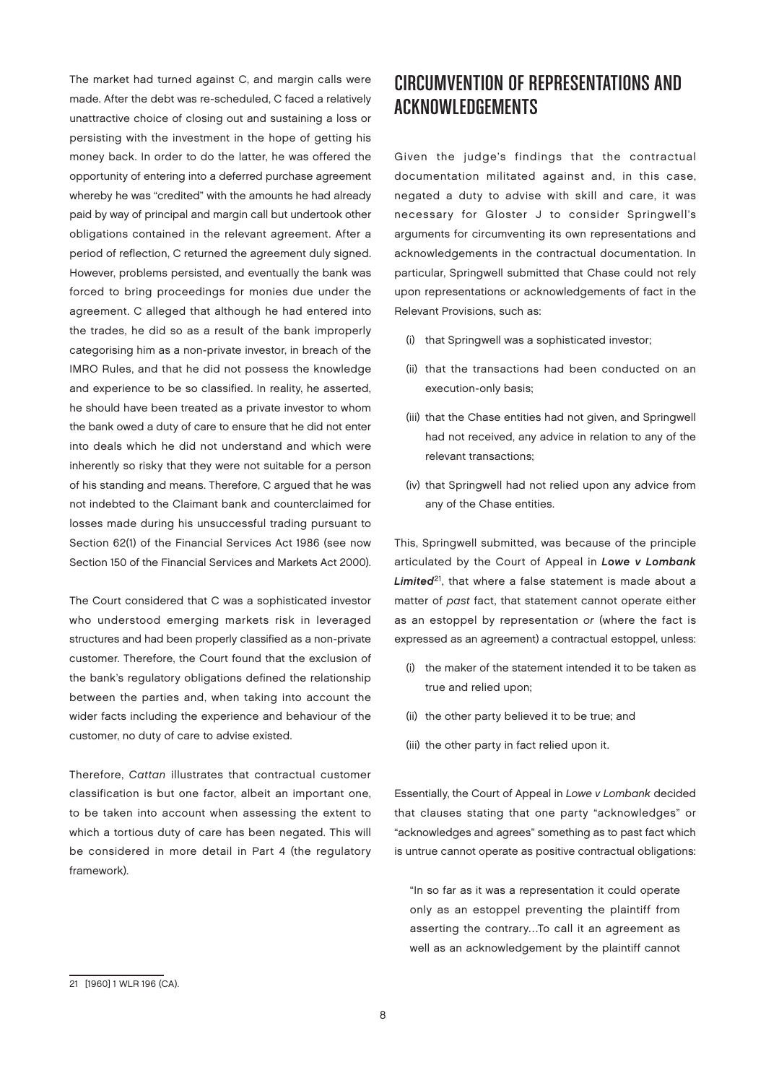The market had turned against C, and margin calls were made. After the debt was re-scheduled, C faced a relatively unattractive choice of closing out and sustaining a loss or persisting with the investment in the hope of getting his money back. In order to do the latter, he was offered the opportunity of entering into a deferred purchase agreement whereby he was "credited" with the amounts he had already paid by way of principal and margin call but undertook other obligations contained in the relevant agreement. After a period of reflection, C returned the agreement duly signed. However, problems persisted, and eventually the bank was forced to bring proceedings for monies due under the agreement. C alleged that although he had entered into the trades, he did so as a result of the bank improperly categorising him as a non-private investor, in breach of the IMRO Rules, and that he did not possess the knowledge and experience to be so classified. In reality, he asserted, he should have been treated as a private investor to whom the bank owed a duty of care to ensure that he did not enter into deals which he did not understand and which were inherently so risky that they were not suitable for a person of his standing and means. Therefore, C argued that he was not indebted to the Claimant bank and counterclaimed for losses made during his unsuccessful trading pursuant to Section 62(1) of the Financial Services Act 1986 (see now Section 150 of the Financial Services and Markets Act 2000).

The Court considered that C was a sophisticated investor who understood emerging markets risk in leveraged structures and had been properly classified as a non-private customer. Therefore, the Court found that the exclusion of the bank's regulatory obligations defined the relationship between the parties and, when taking into account the wider facts including the experience and behaviour of the customer, no duty of care to advise existed.

Therefore, Cattan illustrates that contractual customer classification is but one factor, albeit an important one, to be taken into account when assessing the extent to which a tortious duty of care has been negated. This will be considered in more detail in Part 4 (the regulatory framework).

# CIRCUMVENTION OF REPRESENTATIONS AND Acknowledgements

Given the judge's findings that the contractual documentation militated against and, in this case, negated a duty to advise with skill and care, it was necessary for Gloster J to consider Springwell's arguments for circumventing its own representations and acknowledgements in the contractual documentation. In particular, Springwell submitted that Chase could not rely upon representations or acknowledgements of fact in the Relevant Provisions, such as:

- (i) that Springwell was a sophisticated investor;
- (ii) that the transactions had been conducted on an execution-only basis;
- (iii) that the Chase entities had not given, and Springwell had not received, any advice in relation to any of the relevant transactions;
- (iv) that Springwell had not relied upon any advice from any of the Chase entities.

This, Springwell submitted, was because of the principle articulated by the Court of Appeal in Lowe v Lombank Limited<sup>21</sup>, that where a false statement is made about a matter of past fact, that statement cannot operate either as an estoppel by representation or (where the fact is expressed as an agreement) a contractual estoppel, unless:

- (i) the maker of the statement intended it to be taken as true and relied upon;
- (ii) the other party believed it to be true; and
- (iii) the other party in fact relied upon it.

Essentially, the Court of Appeal in Lowe v Lombank decided that clauses stating that one party "acknowledges" or "acknowledges and agrees" something as to past fact which is untrue cannot operate as positive contractual obligations:

"In so far as it was a representation it could operate only as an estoppel preventing the plaintiff from asserting the contrary…To call it an agreement as well as an acknowledgement by the plaintiff cannot

<sup>21</sup> [1960] 1 WLR 196 (CA).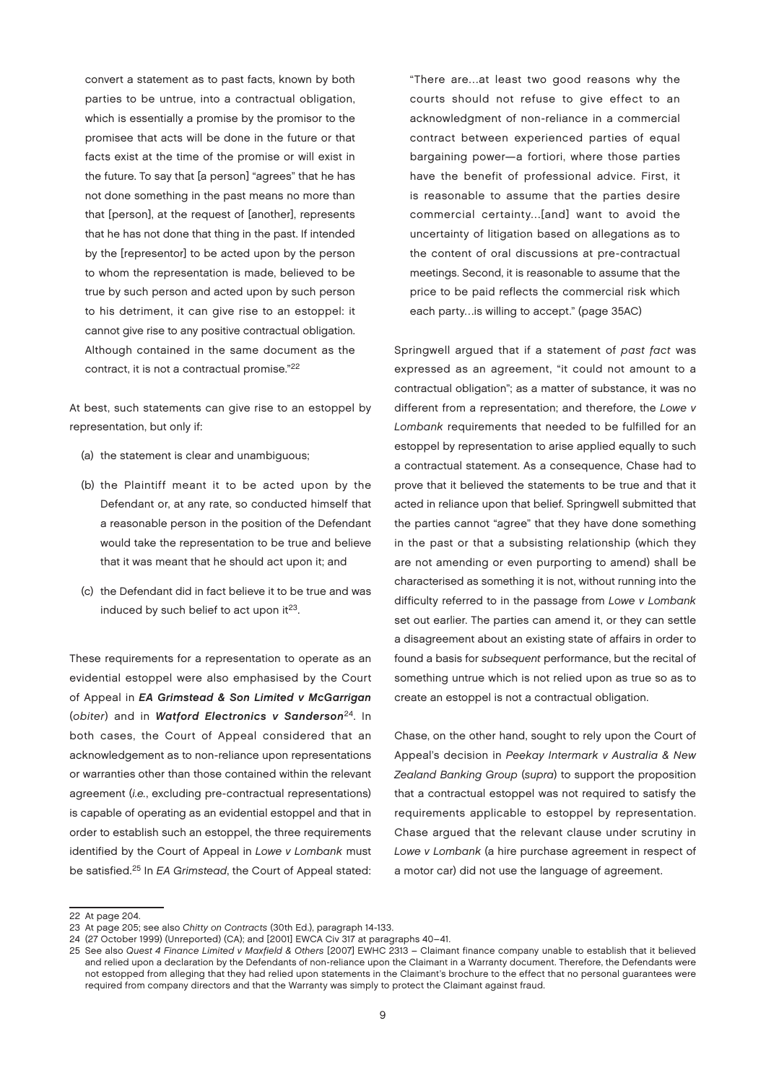convert a statement as to past facts, known by both parties to be untrue, into a contractual obligation, which is essentially a promise by the promisor to the promisee that acts will be done in the future or that facts exist at the time of the promise or will exist in the future. To say that [a person] "agrees" that he has not done something in the past means no more than that [person], at the request of [another], represents that he has not done that thing in the past. If intended by the [representor] to be acted upon by the person to whom the representation is made, believed to be true by such person and acted upon by such person to his detriment, it can give rise to an estoppel: it cannot give rise to any positive contractual obligation. Although contained in the same document as the contract, it is not a contractual promise."22

At best, such statements can give rise to an estoppel by representation, but only if:

- (a) the statement is clear and unambiguous;
- (b) the Plaintiff meant it to be acted upon by the Defendant or, at any rate, so conducted himself that a reasonable person in the position of the Defendant would take the representation to be true and believe that it was meant that he should act upon it; and
- (c) the Defendant did in fact believe it to be true and was induced by such belief to act upon it $^{23}$ .

These requirements for a representation to operate as an evidential estoppel were also emphasised by the Court of Appeal in EA Grimstead & Son Limited v McGarrigan (obiter) and in Watford Electronics v Sanderson<sup>24</sup>. In both cases, the Court of Appeal considered that an acknowledgement as to non-reliance upon representations or warranties other than those contained within the relevant agreement (i.e., excluding pre-contractual representations) is capable of operating as an evidential estoppel and that in order to establish such an estoppel, the three requirements identified by the Court of Appeal in Lowe v Lombank must be satisfied.<sup>25</sup> In EA Grimstead, the Court of Appeal stated:

"There are…at least two good reasons why the courts should not refuse to give effect to an acknowledgment of non-reliance in a commercial contract between experienced parties of equal bargaining power—a fortiori, where those parties have the benefit of professional advice. First, it is reasonable to assume that the parties desire commercial certainty…[and] want to avoid the uncertainty of litigation based on allegations as to the content of oral discussions at pre-contractual meetings. Second, it is reasonable to assume that the price to be paid reflects the commercial risk which each party…is willing to accept." (page 35AC)

Springwell argued that if a statement of past fact was expressed as an agreement, "it could not amount to a contractual obligation"; as a matter of substance, it was no different from a representation; and therefore, the Lowe v Lombank requirements that needed to be fulfilled for an estoppel by representation to arise applied equally to such a contractual statement. As a consequence, Chase had to prove that it believed the statements to be true and that it acted in reliance upon that belief. Springwell submitted that the parties cannot "agree" that they have done something in the past or that a subsisting relationship (which they are not amending or even purporting to amend) shall be characterised as something it is not, without running into the difficulty referred to in the passage from Lowe v Lombank set out earlier. The parties can amend it, or they can settle a disagreement about an existing state of affairs in order to found a basis for subsequent performance, but the recital of something untrue which is not relied upon as true so as to create an estoppel is not a contractual obligation.

Chase, on the other hand, sought to rely upon the Court of Appeal's decision in Peekay Intermark v Australia & New Zealand Banking Group (supra) to support the proposition that a contractual estoppel was not required to satisfy the requirements applicable to estoppel by representation. Chase argued that the relevant clause under scrutiny in Lowe v Lombank (a hire purchase agreement in respect of a motor car) did not use the language of agreement.

<sup>22</sup> At page 204.

<sup>23</sup> At page 205; see also Chitty on Contracts (30th Ed.), paragraph 14-133.

<sup>24</sup> (27 October 1999) (Unreported) (CA); and [2001] EWCA Civ 317 at paragraphs 40–41.

<sup>25</sup> See also Quest 4 Finance Limited v Maxfield & Others [2007] EWHC 2313 – Claimant finance company unable to establish that it believed and relied upon a declaration by the Defendants of non-reliance upon the Claimant in a Warranty document. Therefore, the Defendants were not estopped from alleging that they had relied upon statements in the Claimant's brochure to the effect that no personal guarantees were required from company directors and that the Warranty was simply to protect the Claimant against fraud.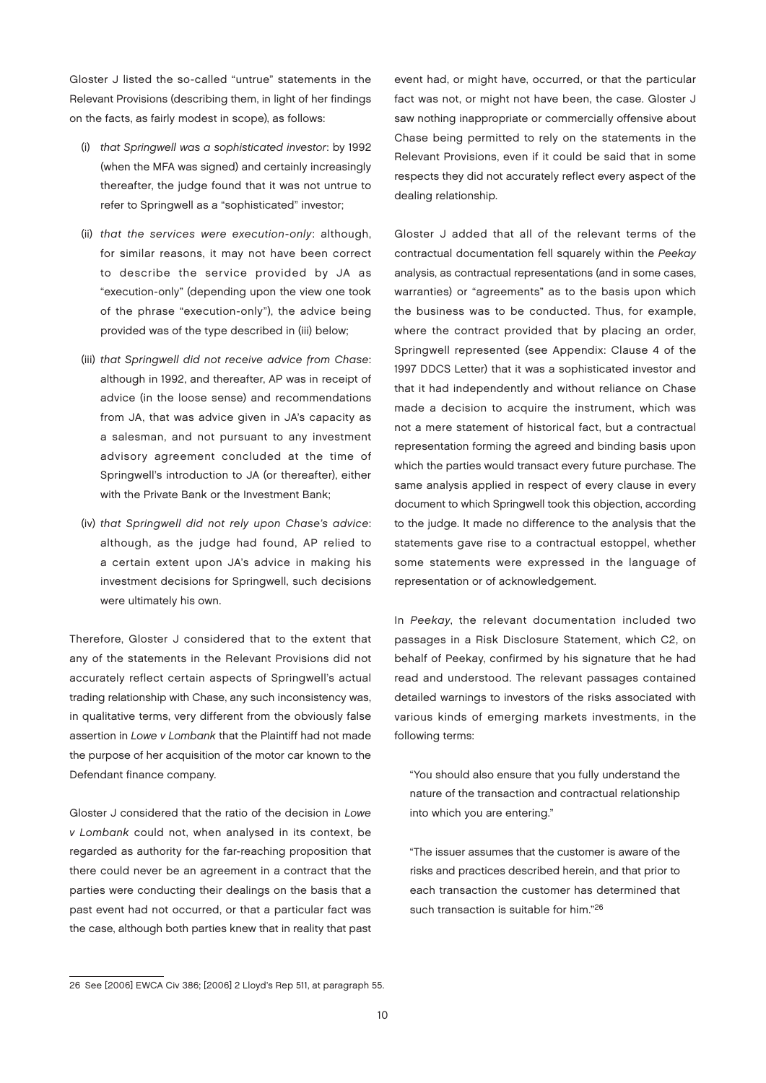Gloster J listed the so-called "untrue" statements in the Relevant Provisions (describing them, in light of her findings on the facts, as fairly modest in scope), as follows:

- (i) that Springwell was a sophisticated investor: by 1992 (when the MFA was signed) and certainly increasingly thereafter, the judge found that it was not untrue to refer to Springwell as a "sophisticated" investor;
- (ii) that the services were execution-only: although, for similar reasons, it may not have been correct to describe the service provided by JA as "execution-only" (depending upon the view one took of the phrase "execution-only"), the advice being provided was of the type described in (iii) below;
- (iii) that Springwell did not receive advice from Chase: although in 1992, and thereafter, AP was in receipt of advice (in the loose sense) and recommendations from JA, that was advice given in JA's capacity as a salesman, and not pursuant to any investment advisory agreement concluded at the time of Springwell's introduction to JA (or thereafter), either with the Private Bank or the Investment Bank;
- (iv) that Springwell did not rely upon Chase's advice: although, as the judge had found, AP relied to a certain extent upon JA's advice in making his investment decisions for Springwell, such decisions were ultimately his own.

Therefore, Gloster J considered that to the extent that any of the statements in the Relevant Provisions did not accurately reflect certain aspects of Springwell's actual trading relationship with Chase, any such inconsistency was, in qualitative terms, very different from the obviously false assertion in Lowe v Lombank that the Plaintiff had not made the purpose of her acquisition of the motor car known to the Defendant finance company.

Gloster J considered that the ratio of the decision in Lowe v Lombank could not, when analysed in its context, be regarded as authority for the far-reaching proposition that there could never be an agreement in a contract that the parties were conducting their dealings on the basis that a past event had not occurred, or that a particular fact was the case, although both parties knew that in reality that past

event had, or might have, occurred, or that the particular fact was not, or might not have been, the case. Gloster J saw nothing inappropriate or commercially offensive about Chase being permitted to rely on the statements in the Relevant Provisions, even if it could be said that in some respects they did not accurately reflect every aspect of the dealing relationship.

Gloster J added that all of the relevant terms of the contractual documentation fell squarely within the Peekay analysis, as contractual representations (and in some cases, warranties) or "agreements" as to the basis upon which the business was to be conducted. Thus, for example, where the contract provided that by placing an order, Springwell represented (see Appendix: Clause 4 of the 1997 DDCS Letter) that it was a sophisticated investor and that it had independently and without reliance on Chase made a decision to acquire the instrument, which was not a mere statement of historical fact, but a contractual representation forming the agreed and binding basis upon which the parties would transact every future purchase. The same analysis applied in respect of every clause in every document to which Springwell took this objection, according to the judge. It made no difference to the analysis that the statements gave rise to a contractual estoppel, whether some statements were expressed in the language of representation or of acknowledgement.

In Peekay, the relevant documentation included two passages in a Risk Disclosure Statement, which C2, on behalf of Peekay, confirmed by his signature that he had read and understood. The relevant passages contained detailed warnings to investors of the risks associated with various kinds of emerging markets investments, in the following terms:

"You should also ensure that you fully understand the nature of the transaction and contractual relationship into which you are entering."

"The issuer assumes that the customer is aware of the risks and practices described herein, and that prior to each transaction the customer has determined that such transaction is suitable for him."<sup>26</sup>

<sup>26</sup> See [2006] EWCA Civ 386; [2006] 2 Lloyd's Rep 511, at paragraph 55.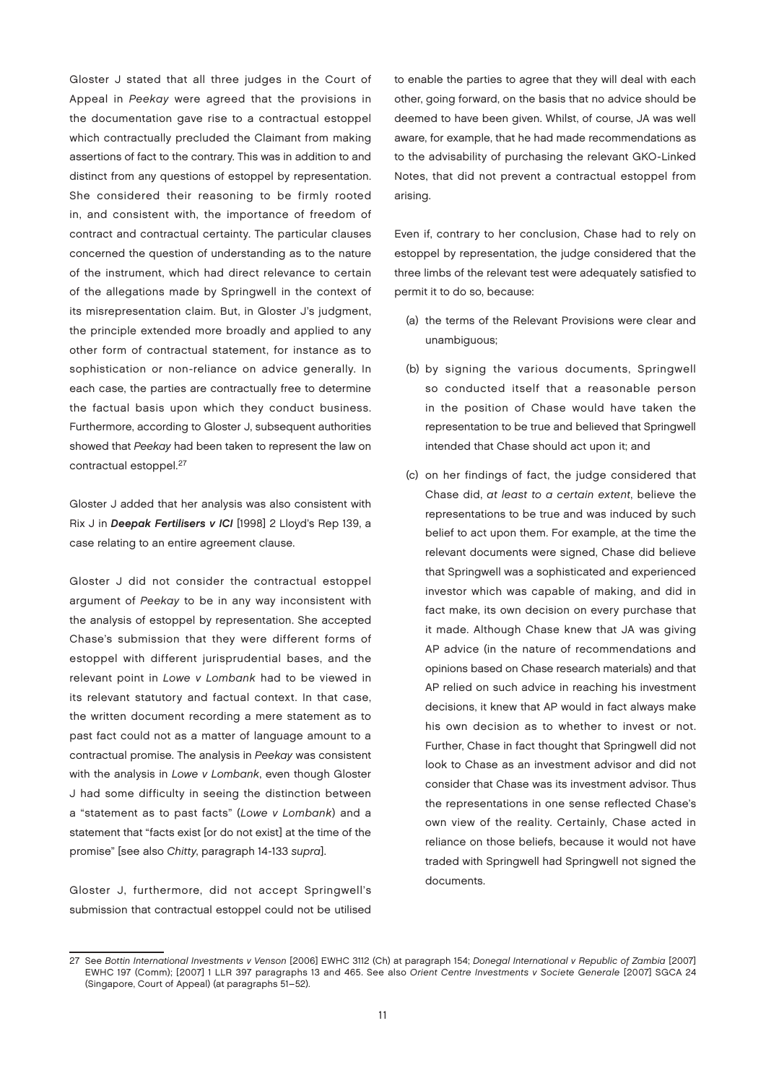Gloster J stated that all three judges in the Court of Appeal in Peekay were agreed that the provisions in the documentation gave rise to a contractual estoppel which contractually precluded the Claimant from making assertions of fact to the contrary. This was in addition to and distinct from any questions of estoppel by representation. She considered their reasoning to be firmly rooted in, and consistent with, the importance of freedom of contract and contractual certainty. The particular clauses concerned the question of understanding as to the nature of the instrument, which had direct relevance to certain of the allegations made by Springwell in the context of its misrepresentation claim. But, in Gloster J's judgment, the principle extended more broadly and applied to any other form of contractual statement, for instance as to sophistication or non-reliance on advice generally. In each case, the parties are contractually free to determine the factual basis upon which they conduct business. Furthermore, according to Gloster J, subsequent authorities showed that Peekay had been taken to represent the law on contractual estoppel.<sup>27</sup>

Gloster J added that her analysis was also consistent with Rix J in Deepak Fertilisers v ICI [1998] 2 Lloyd's Rep 139, a case relating to an entire agreement clause.

Gloster J did not consider the contractual estoppel argument of Peekay to be in any way inconsistent with the analysis of estoppel by representation. She accepted Chase's submission that they were different forms of estoppel with different jurisprudential bases, and the relevant point in Lowe v Lombank had to be viewed in its relevant statutory and factual context. In that case, the written document recording a mere statement as to past fact could not as a matter of language amount to a contractual promise. The analysis in Peekay was consistent with the analysis in Lowe v Lombank, even though Gloster J had some difficulty in seeing the distinction between a "statement as to past facts" (Lowe v Lombank) and a statement that "facts exist [or do not exist] at the time of the promise" [see also Chitty, paragraph 14-133 supra].

Gloster J, furthermore, did not accept Springwell's submission that contractual estoppel could not be utilised

to enable the parties to agree that they will deal with each other, going forward, on the basis that no advice should be deemed to have been given. Whilst, of course, JA was well aware, for example, that he had made recommendations as to the advisability of purchasing the relevant GKO-Linked Notes, that did not prevent a contractual estoppel from arising.

Even if, contrary to her conclusion, Chase had to rely on estoppel by representation, the judge considered that the three limbs of the relevant test were adequately satisfied to permit it to do so, because:

- (a) the terms of the Relevant Provisions were clear and unambiguous;
- (b) by signing the various documents, Springwell so conducted itself that a reasonable person in the position of Chase would have taken the representation to be true and believed that Springwell intended that Chase should act upon it; and
- (c) on her findings of fact, the judge considered that Chase did, at least to a certain extent, believe the representations to be true and was induced by such belief to act upon them. For example, at the time the relevant documents were signed, Chase did believe that Springwell was a sophisticated and experienced investor which was capable of making, and did in fact make, its own decision on every purchase that it made. Although Chase knew that JA was giving AP advice (in the nature of recommendations and opinions based on Chase research materials) and that AP relied on such advice in reaching his investment decisions, it knew that AP would in fact always make his own decision as to whether to invest or not. Further, Chase in fact thought that Springwell did not look to Chase as an investment advisor and did not consider that Chase was its investment advisor. Thus the representations in one sense reflected Chase's own view of the reality. Certainly, Chase acted in reliance on those beliefs, because it would not have traded with Springwell had Springwell not signed the documents.

<sup>27</sup> See Bottin International Investments v Venson [2006] EWHC 3112 (Ch) at paragraph 154; Donegal International v Republic of Zambia [2007] EWHC 197 (Comm); [2007] 1 LLR 397 paragraphs 13 and 465. See also Orient Centre Investments v Societe Generale [2007] SGCA 24 (Singapore, Court of Appeal) (at paragraphs 51–52).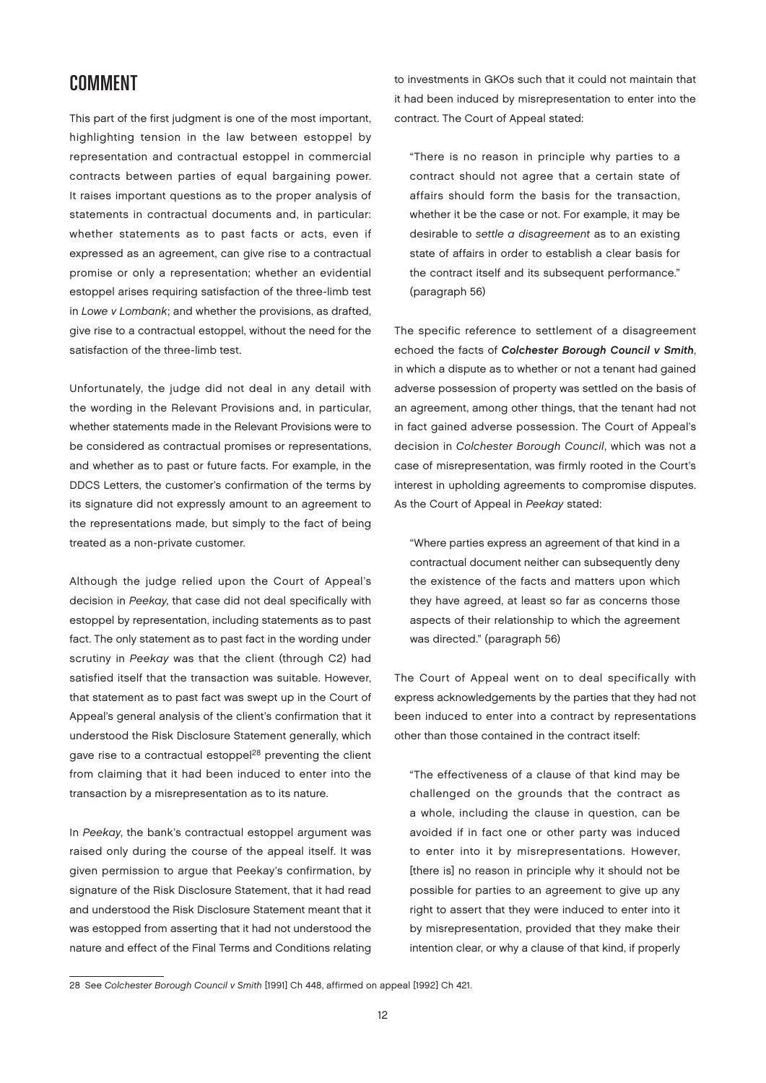#### **COMMENT**

This part of the first judgment is one of the most important, highlighting tension in the law between estoppel by representation and contractual estoppel in commercial contracts between parties of equal bargaining power. It raises important questions as to the proper analysis of statements in contractual documents and, in particular: whether statements as to past facts or acts, even if expressed as an agreement, can give rise to a contractual promise or only a representation; whether an evidential estoppel arises requiring satisfaction of the three-limb test in Lowe v Lombank; and whether the provisions, as drafted, give rise to a contractual estoppel, without the need for the satisfaction of the three-limb test.

Unfortunately, the judge did not deal in any detail with the wording in the Relevant Provisions and, in particular, whether statements made in the Relevant Provisions were to be considered as contractual promises or representations, and whether as to past or future facts. For example, in the DDCS Letters, the customer's confirmation of the terms by its signature did not expressly amount to an agreement to the representations made, but simply to the fact of being treated as a non-private customer.

Although the judge relied upon the Court of Appeal's decision in Peekay, that case did not deal specifically with estoppel by representation, including statements as to past fact. The only statement as to past fact in the wording under scrutiny in Peekay was that the client (through C2) had satisfied itself that the transaction was suitable. However, that statement as to past fact was swept up in the Court of Appeal's general analysis of the client's confirmation that it understood the Risk Disclosure Statement generally, which gave rise to a contractual estoppel<sup>28</sup> preventing the client from claiming that it had been induced to enter into the transaction by a misrepresentation as to its nature.

In Peekay, the bank's contractual estoppel argument was raised only during the course of the appeal itself. It was given permission to argue that Peekay's confirmation, by signature of the Risk Disclosure Statement, that it had read and understood the Risk Disclosure Statement meant that it was estopped from asserting that it had not understood the nature and effect of the Final Terms and Conditions relating

to investments in GKOs such that it could not maintain that it had been induced by misrepresentation to enter into the contract. The Court of Appeal stated:

"There is no reason in principle why parties to a contract should not agree that a certain state of affairs should form the basis for the transaction, whether it be the case or not. For example, it may be desirable to settle a disagreement as to an existing state of affairs in order to establish a clear basis for the contract itself and its subsequent performance." (paragraph 56)

The specific reference to settlement of a disagreement echoed the facts of Colchester Borough Council v Smith, in which a dispute as to whether or not a tenant had gained adverse possession of property was settled on the basis of an agreement, among other things, that the tenant had not in fact gained adverse possession. The Court of Appeal's decision in Colchester Borough Council, which was not a case of misrepresentation, was firmly rooted in the Court's interest in upholding agreements to compromise disputes. As the Court of Appeal in Peekay stated:

"Where parties express an agreement of that kind in a contractual document neither can subsequently deny the existence of the facts and matters upon which they have agreed, at least so far as concerns those aspects of their relationship to which the agreement was directed." (paragraph 56)

The Court of Appeal went on to deal specifically with express acknowledgements by the parties that they had not been induced to enter into a contract by representations other than those contained in the contract itself:

"The effectiveness of a clause of that kind may be challenged on the grounds that the contract as a whole, including the clause in question, can be avoided if in fact one or other party was induced to enter into it by misrepresentations. However, [there is] no reason in principle why it should not be possible for parties to an agreement to give up any right to assert that they were induced to enter into it by misrepresentation, provided that they make their intention clear, or why a clause of that kind, if properly

<sup>28</sup> See Colchester Borough Council v Smith [1991] Ch 448, affirmed on appeal [1992] Ch 421.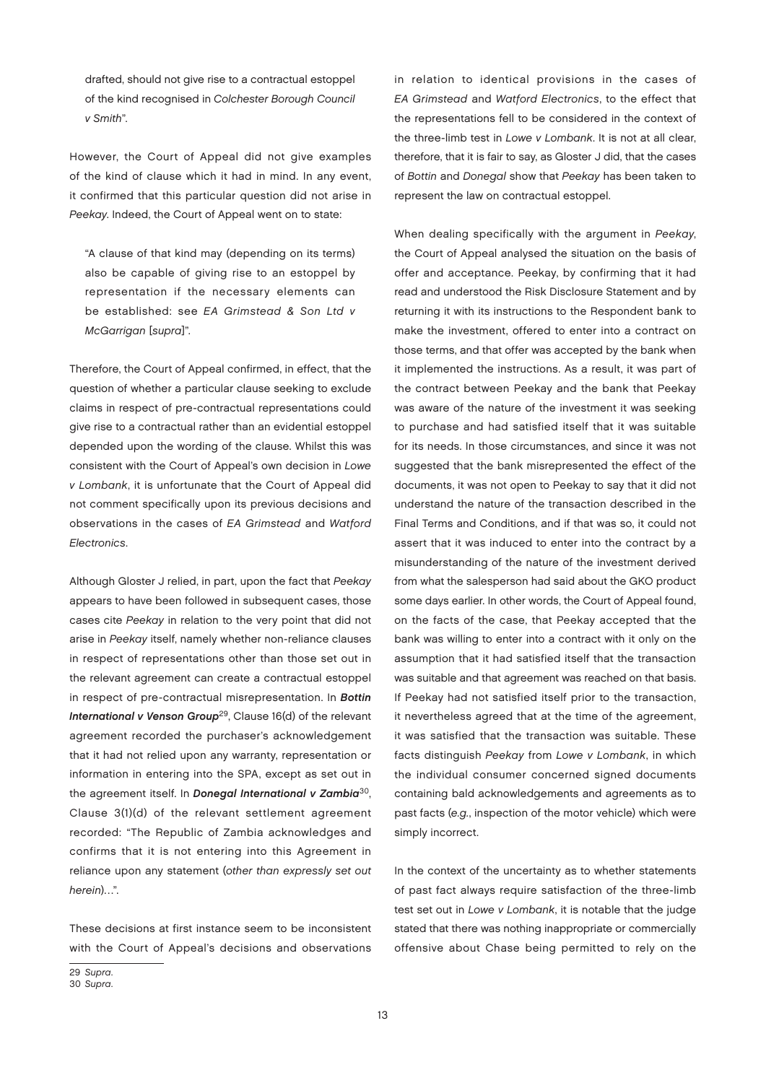drafted, should not give rise to a contractual estoppel of the kind recognised in Colchester Borough Council v Smith".

However, the Court of Appeal did not give examples of the kind of clause which it had in mind. In any event, it confirmed that this particular question did not arise in Peekay. Indeed, the Court of Appeal went on to state:

"A clause of that kind may (depending on its terms) also be capable of giving rise to an estoppel by representation if the necessary elements can be established: see EA Grimstead & Son Ltd v McGarrigan [supra]".

Therefore, the Court of Appeal confirmed, in effect, that the question of whether a particular clause seeking to exclude claims in respect of pre-contractual representations could give rise to a contractual rather than an evidential estoppel depended upon the wording of the clause. Whilst this was consistent with the Court of Appeal's own decision in Lowe v Lombank, it is unfortunate that the Court of Appeal did not comment specifically upon its previous decisions and observations in the cases of EA Grimstead and Watford Electronics.

Although Gloster J relied, in part, upon the fact that Peekay appears to have been followed in subsequent cases, those cases cite Peekay in relation to the very point that did not arise in Peekay itself, namely whether non-reliance clauses in respect of representations other than those set out in the relevant agreement can create a contractual estoppel in respect of pre-contractual misrepresentation. In Bottin International v Venson Group<sup>29</sup>, Clause 16(d) of the relevant agreement recorded the purchaser's acknowledgement that it had not relied upon any warranty, representation or information in entering into the SPA, except as set out in the agreement itself. In Donegal International v Zambia<sup>30</sup>, Clause 3(1)(d) of the relevant settlement agreement recorded: "The Republic of Zambia acknowledges and confirms that it is not entering into this Agreement in reliance upon any statement (other than expressly set out herein)…".

These decisions at first instance seem to be inconsistent with the Court of Appeal's decisions and observations

in relation to identical provisions in the cases of EA Grimstead and Watford Electronics, to the effect that the representations fell to be considered in the context of the three-limb test in Lowe v Lombank. It is not at all clear, therefore, that it is fair to say, as Gloster J did, that the cases of Bottin and Donegal show that Peekay has been taken to represent the law on contractual estoppel.

When dealing specifically with the argument in Peekay, the Court of Appeal analysed the situation on the basis of offer and acceptance. Peekay, by confirming that it had read and understood the Risk Disclosure Statement and by returning it with its instructions to the Respondent bank to make the investment, offered to enter into a contract on those terms, and that offer was accepted by the bank when it implemented the instructions. As a result, it was part of the contract between Peekay and the bank that Peekay was aware of the nature of the investment it was seeking to purchase and had satisfied itself that it was suitable for its needs. In those circumstances, and since it was not suggested that the bank misrepresented the effect of the documents, it was not open to Peekay to say that it did not understand the nature of the transaction described in the Final Terms and Conditions, and if that was so, it could not assert that it was induced to enter into the contract by a misunderstanding of the nature of the investment derived from what the salesperson had said about the GKO product some days earlier. In other words, the Court of Appeal found, on the facts of the case, that Peekay accepted that the bank was willing to enter into a contract with it only on the assumption that it had satisfied itself that the transaction was suitable and that agreement was reached on that basis. If Peekay had not satisfied itself prior to the transaction, it nevertheless agreed that at the time of the agreement, it was satisfied that the transaction was suitable. These facts distinguish Peekay from Lowe v Lombank, in which the individual consumer concerned signed documents containing bald acknowledgements and agreements as to past facts (e.g., inspection of the motor vehicle) which were simply incorrect.

In the context of the uncertainty as to whether statements of past fact always require satisfaction of the three-limb test set out in Lowe v Lombank, it is notable that the judge stated that there was nothing inappropriate or commercially offensive about Chase being permitted to rely on the

<sup>29</sup> Supra. 30 Supra.

<sup>13</sup>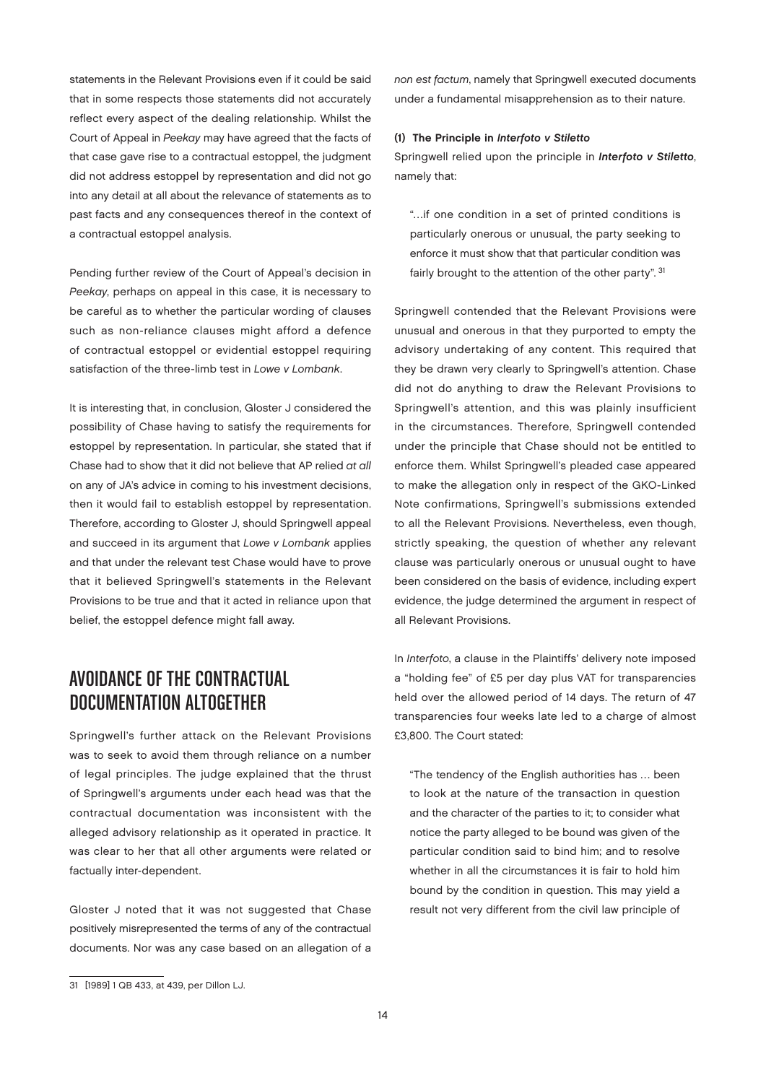statements in the Relevant Provisions even if it could be said that in some respects those statements did not accurately reflect every aspect of the dealing relationship. Whilst the Court of Appeal in Peekay may have agreed that the facts of that case gave rise to a contractual estoppel, the judgment did not address estoppel by representation and did not go into any detail at all about the relevance of statements as to past facts and any consequences thereof in the context of a contractual estoppel analysis.

Pending further review of the Court of Appeal's decision in Peekay, perhaps on appeal in this case, it is necessary to be careful as to whether the particular wording of clauses such as non-reliance clauses might afford a defence of contractual estoppel or evidential estoppel requiring satisfaction of the three-limb test in Lowe v Lombank.

It is interesting that, in conclusion, Gloster J considered the possibility of Chase having to satisfy the requirements for estoppel by representation. In particular, she stated that if Chase had to show that it did not believe that AP relied at all on any of JA's advice in coming to his investment decisions, then it would fail to establish estoppel by representation. Therefore, according to Gloster J, should Springwell appeal and succeed in its argument that Lowe v Lombank applies and that under the relevant test Chase would have to prove that it believed Springwell's statements in the Relevant Provisions to be true and that it acted in reliance upon that belief, the estoppel defence might fall away.

## Avoidance of the Contractual Documentation Altogether

Springwell's further attack on the Relevant Provisions was to seek to avoid them through reliance on a number of legal principles. The judge explained that the thrust of Springwell's arguments under each head was that the contractual documentation was inconsistent with the alleged advisory relationship as it operated in practice. It was clear to her that all other arguments were related or factually inter-dependent.

Gloster J noted that it was not suggested that Chase positively misrepresented the terms of any of the contractual documents. Nor was any case based on an allegation of a

#### (1) The Principle in Interfoto v Stiletto

Springwell relied upon the principle in Interfoto v Stiletto, namely that:

"…if one condition in a set of printed conditions is particularly onerous or unusual, the party seeking to enforce it must show that that particular condition was fairly brought to the attention of the other party". 31

Springwell contended that the Relevant Provisions were unusual and onerous in that they purported to empty the advisory undertaking of any content. This required that they be drawn very clearly to Springwell's attention. Chase did not do anything to draw the Relevant Provisions to Springwell's attention, and this was plainly insufficient in the circumstances. Therefore, Springwell contended under the principle that Chase should not be entitled to enforce them. Whilst Springwell's pleaded case appeared to make the allegation only in respect of the GKO-Linked Note confirmations, Springwell's submissions extended to all the Relevant Provisions. Nevertheless, even though, strictly speaking, the question of whether any relevant clause was particularly onerous or unusual ought to have been considered on the basis of evidence, including expert evidence, the judge determined the argument in respect of all Relevant Provisions.

In Interfoto, a clause in the Plaintiffs' delivery note imposed a "holding fee" of £5 per day plus VAT for transparencies held over the allowed period of 14 days. The return of 47 transparencies four weeks late led to a charge of almost £3,800. The Court stated:

"The tendency of the English authorities has … been to look at the nature of the transaction in question and the character of the parties to it; to consider what notice the party alleged to be bound was given of the particular condition said to bind him; and to resolve whether in all the circumstances it is fair to hold him bound by the condition in question. This may yield a result not very different from the civil law principle of

non est factum, namely that Springwell executed documents under a fundamental misapprehension as to their nature.

<sup>31</sup> [1989] 1 QB 433, at 439, per Dillon LJ.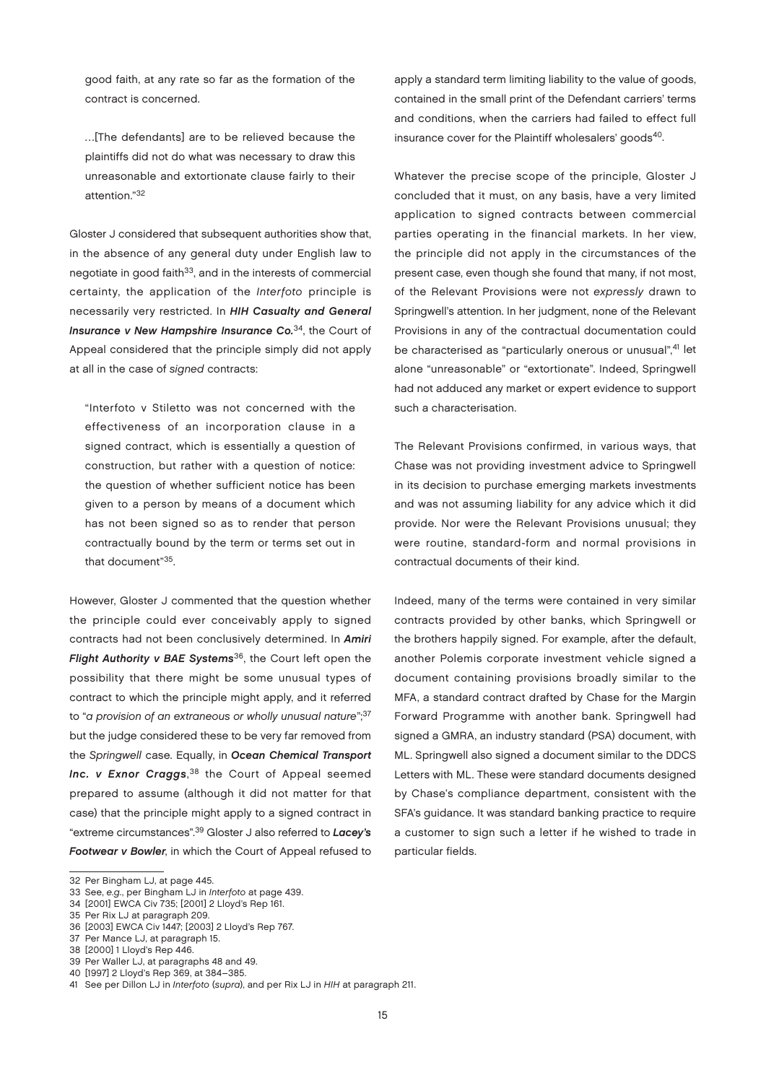good faith, at any rate so far as the formation of the contract is concerned.

…[The defendants] are to be relieved because the plaintiffs did not do what was necessary to draw this unreasonable and extortionate clause fairly to their attention."32

Gloster J considered that subsequent authorities show that, in the absence of any general duty under English law to negotiate in good faith<sup>33</sup>, and in the interests of commercial certainty, the application of the Interfoto principle is necessarily very restricted. In HIH Casualty and General Insurance v New Hampshire Insurance Co.<sup>34</sup>, the Court of Appeal considered that the principle simply did not apply at all in the case of signed contracts:

"Interfoto v Stiletto was not concerned with the effectiveness of an incorporation clause in a signed contract, which is essentially a question of construction, but rather with a question of notice: the question of whether sufficient notice has been given to a person by means of a document which has not been signed so as to render that person contractually bound by the term or terms set out in that document"35.

However, Gloster J commented that the question whether the principle could ever conceivably apply to signed contracts had not been conclusively determined. In Amiri Flight Authority  $v$  BAE Systems<sup>36</sup>, the Court left open the possibility that there might be some unusual types of contract to which the principle might apply, and it referred to "a provision of an extraneous or wholly unusual nature"; 37 but the judge considered these to be very far removed from the Springwell case. Equally, in Ocean Chemical Transport Inc. v Exnor Craggs,<sup>38</sup> the Court of Appeal seemed prepared to assume (although it did not matter for that case) that the principle might apply to a signed contract in "extreme circumstances".<sup>39</sup> Gloster J also referred to Lacey's Footwear v Bowler, in which the Court of Appeal refused to

39 Per Waller LJ, at paragraphs 48 and 49.

apply a standard term limiting liability to the value of goods, contained in the small print of the Defendant carriers' terms and conditions, when the carriers had failed to effect full insurance cover for the Plaintiff wholesalers' goods<sup>40</sup>.

Whatever the precise scope of the principle, Gloster J concluded that it must, on any basis, have a very limited application to signed contracts between commercial parties operating in the financial markets. In her view, the principle did not apply in the circumstances of the present case, even though she found that many, if not most, of the Relevant Provisions were not expressly drawn to Springwell's attention. In her judgment, none of the Relevant Provisions in any of the contractual documentation could be characterised as "particularly onerous or unusual",<sup>41</sup> let alone "unreasonable" or "extortionate". Indeed, Springwell had not adduced any market or expert evidence to support such a characterisation.

The Relevant Provisions confirmed, in various ways, that Chase was not providing investment advice to Springwell in its decision to purchase emerging markets investments and was not assuming liability for any advice which it did provide. Nor were the Relevant Provisions unusual; they were routine, standard-form and normal provisions in contractual documents of their kind.

Indeed, many of the terms were contained in very similar contracts provided by other banks, which Springwell or the brothers happily signed. For example, after the default, another Polemis corporate investment vehicle signed a document containing provisions broadly similar to the MFA, a standard contract drafted by Chase for the Margin Forward Programme with another bank. Springwell had signed a GMRA, an industry standard (PSA) document, with ML. Springwell also signed a document similar to the DDCS Letters with ML. These were standard documents designed by Chase's compliance department, consistent with the SFA's guidance. It was standard banking practice to require a customer to sign such a letter if he wished to trade in particular fields.

<sup>32</sup> Per Bingham LJ, at page 445.

<sup>33</sup> See, e.g., per Bingham LJ in Interfoto at page 439.

<sup>34</sup> [2001] EWCA Civ 735; [2001] 2 Lloyd's Rep 161.

<sup>35</sup> Per Rix LJ at paragraph 209.

<sup>36</sup> [2003] EWCA Civ 1447; [2003] 2 Lloyd's Rep 767.

<sup>37</sup> Per Mance LJ, at paragraph 15.

<sup>38</sup> [2000] 1 Lloyd's Rep 446.

<sup>40</sup> [1997] 2 Lloyd's Rep 369, at 384–385.

<sup>41</sup> See per Dillon LJ in Interfoto (supra), and per Rix LJ in HIH at paragraph 211.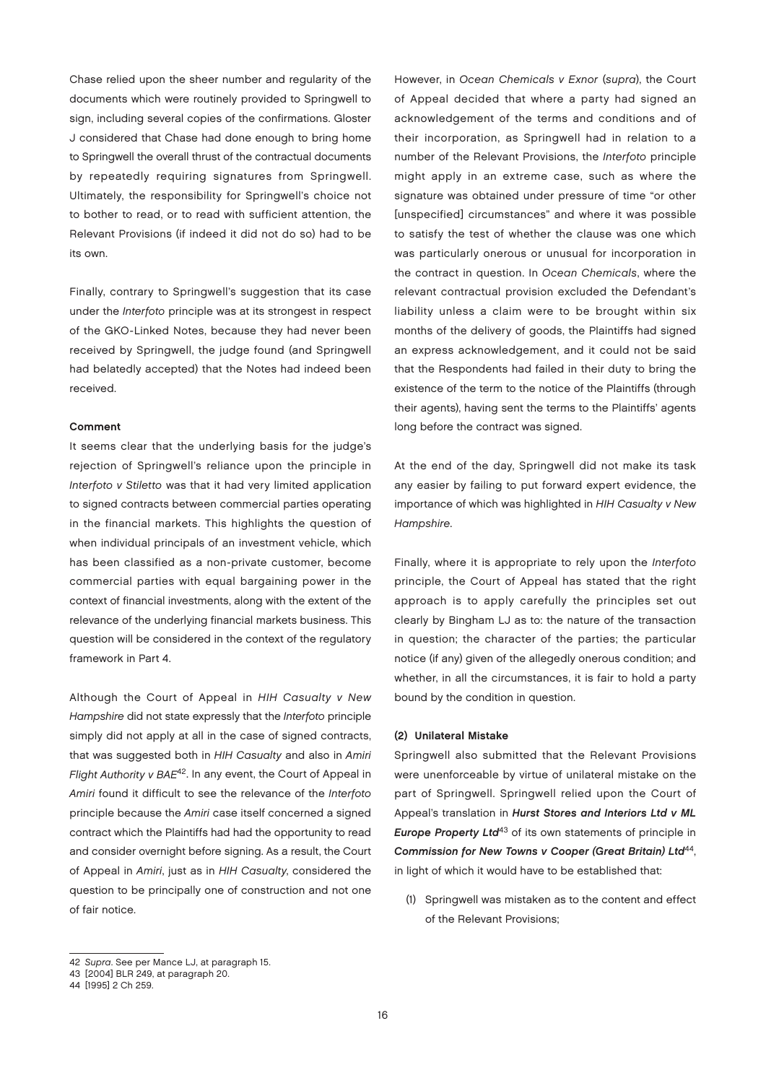Chase relied upon the sheer number and regularity of the documents which were routinely provided to Springwell to sign, including several copies of the confirmations. Gloster J considered that Chase had done enough to bring home to Springwell the overall thrust of the contractual documents by repeatedly requiring signatures from Springwell. Ultimately, the responsibility for Springwell's choice not to bother to read, or to read with sufficient attention, the Relevant Provisions (if indeed it did not do so) had to be its own.

Finally, contrary to Springwell's suggestion that its case under the Interfoto principle was at its strongest in respect of the GKO-Linked Notes, because they had never been received by Springwell, the judge found (and Springwell had belatedly accepted) that the Notes had indeed been received.

#### Comment

It seems clear that the underlying basis for the judge's rejection of Springwell's reliance upon the principle in Interfoto v Stiletto was that it had very limited application to signed contracts between commercial parties operating in the financial markets. This highlights the question of when individual principals of an investment vehicle, which has been classified as a non-private customer, become commercial parties with equal bargaining power in the context of financial investments, along with the extent of the relevance of the underlying financial markets business. This question will be considered in the context of the regulatory framework in Part 4.

Although the Court of Appeal in HIH Casualty v New Hampshire did not state expressly that the Interfoto principle simply did not apply at all in the case of signed contracts, that was suggested both in HIH Casualty and also in Amiri Flight Authority v BAE<sup>42</sup>. In any event, the Court of Appeal in Amiri found it difficult to see the relevance of the Interfoto principle because the Amiri case itself concerned a signed contract which the Plaintiffs had had the opportunity to read and consider overnight before signing. As a result, the Court of Appeal in Amiri, just as in HIH Casualty, considered the question to be principally one of construction and not one of fair notice.

However, in Ocean Chemicals v Exnor (supra), the Court of Appeal decided that where a party had signed an acknowledgement of the terms and conditions and of their incorporation, as Springwell had in relation to a number of the Relevant Provisions, the Interfoto principle might apply in an extreme case, such as where the signature was obtained under pressure of time "or other [unspecified] circumstances" and where it was possible to satisfy the test of whether the clause was one which was particularly onerous or unusual for incorporation in the contract in question. In Ocean Chemicals, where the relevant contractual provision excluded the Defendant's liability unless a claim were to be brought within six months of the delivery of goods, the Plaintiffs had signed an express acknowledgement, and it could not be said that the Respondents had failed in their duty to bring the existence of the term to the notice of the Plaintiffs (through their agents), having sent the terms to the Plaintiffs' agents long before the contract was signed.

At the end of the day, Springwell did not make its task any easier by failing to put forward expert evidence, the importance of which was highlighted in HIH Casualty v New Hampshire.

Finally, where it is appropriate to rely upon the Interfoto principle, the Court of Appeal has stated that the right approach is to apply carefully the principles set out clearly by Bingham LJ as to: the nature of the transaction in question; the character of the parties; the particular notice (if any) given of the allegedly onerous condition; and whether, in all the circumstances, it is fair to hold a party bound by the condition in question.

#### (2) Unilateral Mistake

Springwell also submitted that the Relevant Provisions were unenforceable by virtue of unilateral mistake on the part of Springwell. Springwell relied upon the Court of Appeal's translation in Hurst Stores and Interiors Ltd v ML Europe Property Ltd<sup>43</sup> of its own statements of principle in Commission for New Towns v Cooper (Great Britain) Ltd<sup>44</sup>, in light of which it would have to be established that:

(1) Springwell was mistaken as to the content and effect of the Relevant Provisions;

<sup>42</sup> Supra. See per Mance LJ, at paragraph 15.

<sup>43</sup> [2004] BLR 249, at paragraph 20.

<sup>44</sup> [1995] 2 Ch 259.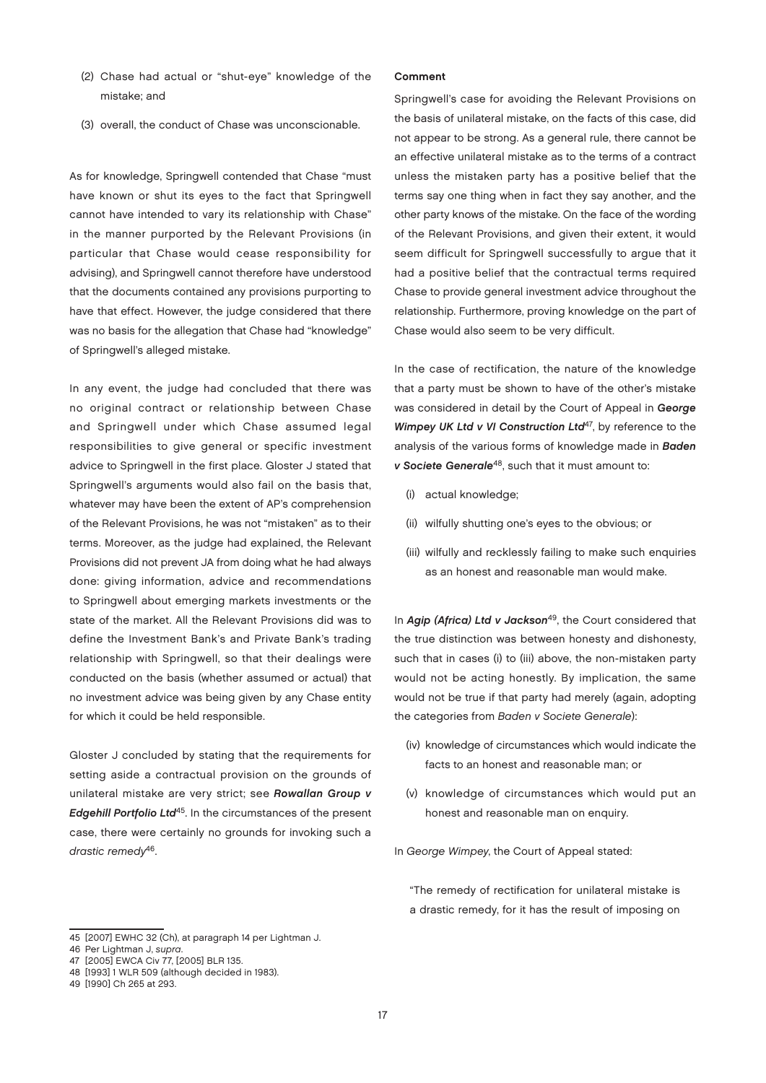- (2) Chase had actual or "shut-eye" knowledge of the mistake; and
- (3) overall, the conduct of Chase was unconscionable.

As for knowledge, Springwell contended that Chase "must have known or shut its eyes to the fact that Springwell cannot have intended to vary its relationship with Chase" in the manner purported by the Relevant Provisions (in particular that Chase would cease responsibility for advising), and Springwell cannot therefore have understood that the documents contained any provisions purporting to have that effect. However, the judge considered that there was no basis for the allegation that Chase had "knowledge" of Springwell's alleged mistake.

In any event, the judge had concluded that there was no original contract or relationship between Chase and Springwell under which Chase assumed legal responsibilities to give general or specific investment advice to Springwell in the first place. Gloster J stated that Springwell's arguments would also fail on the basis that, whatever may have been the extent of AP's comprehension of the Relevant Provisions, he was not "mistaken" as to their terms. Moreover, as the judge had explained, the Relevant Provisions did not prevent JA from doing what he had always done: giving information, advice and recommendations to Springwell about emerging markets investments or the state of the market. All the Relevant Provisions did was to define the Investment Bank's and Private Bank's trading relationship with Springwell, so that their dealings were conducted on the basis (whether assumed or actual) that no investment advice was being given by any Chase entity for which it could be held responsible.

Gloster J concluded by stating that the requirements for setting aside a contractual provision on the grounds of unilateral mistake are very strict; see Rowallan Group v Edgehill Portfolio Ltd<sup>45</sup>. In the circumstances of the present case, there were certainly no grounds for invoking such a drastic remedy<sup>46</sup>.

#### Comment

Springwell's case for avoiding the Relevant Provisions on the basis of unilateral mistake, on the facts of this case, did not appear to be strong. As a general rule, there cannot be an effective unilateral mistake as to the terms of a contract unless the mistaken party has a positive belief that the terms say one thing when in fact they say another, and the other party knows of the mistake. On the face of the wording of the Relevant Provisions, and given their extent, it would seem difficult for Springwell successfully to argue that it had a positive belief that the contractual terms required Chase to provide general investment advice throughout the relationship. Furthermore, proving knowledge on the part of Chase would also seem to be very difficult.

In the case of rectification, the nature of the knowledge that a party must be shown to have of the other's mistake was considered in detail by the Court of Appeal in George Wimpey UK Ltd v VI Construction Ltd<sup>47</sup>, by reference to the analysis of the various forms of knowledge made in **Baden** v Societe Generale<sup>48</sup>, such that it must amount to:

- (i) actual knowledge;
- (ii) wilfully shutting one's eyes to the obvious; or
- (iii) wilfully and recklessly failing to make such enquiries as an honest and reasonable man would make.

In Agip (Africa) Ltd v Jackson<sup>49</sup>, the Court considered that the true distinction was between honesty and dishonesty, such that in cases (i) to (iii) above, the non-mistaken party would not be acting honestly. By implication, the same would not be true if that party had merely (again, adopting the categories from Baden v Societe Generale):

- (iv) knowledge of circumstances which would indicate the facts to an honest and reasonable man; or
- (v) knowledge of circumstances which would put an honest and reasonable man on enquiry.

In George Wimpey, the Court of Appeal stated:

"The remedy of rectification for unilateral mistake is a drastic remedy, for it has the result of imposing on

<sup>45</sup> [2007] EWHC 32 (Ch), at paragraph 14 per Lightman J.

<sup>46</sup> Per Lightman J, supra.

<sup>47</sup> [2005] EWCA Civ 77, [2005] BLR 135. 48 [1993] 1 WLR 509 (although decided in 1983).

<sup>49</sup> [1990] Ch 265 at 293.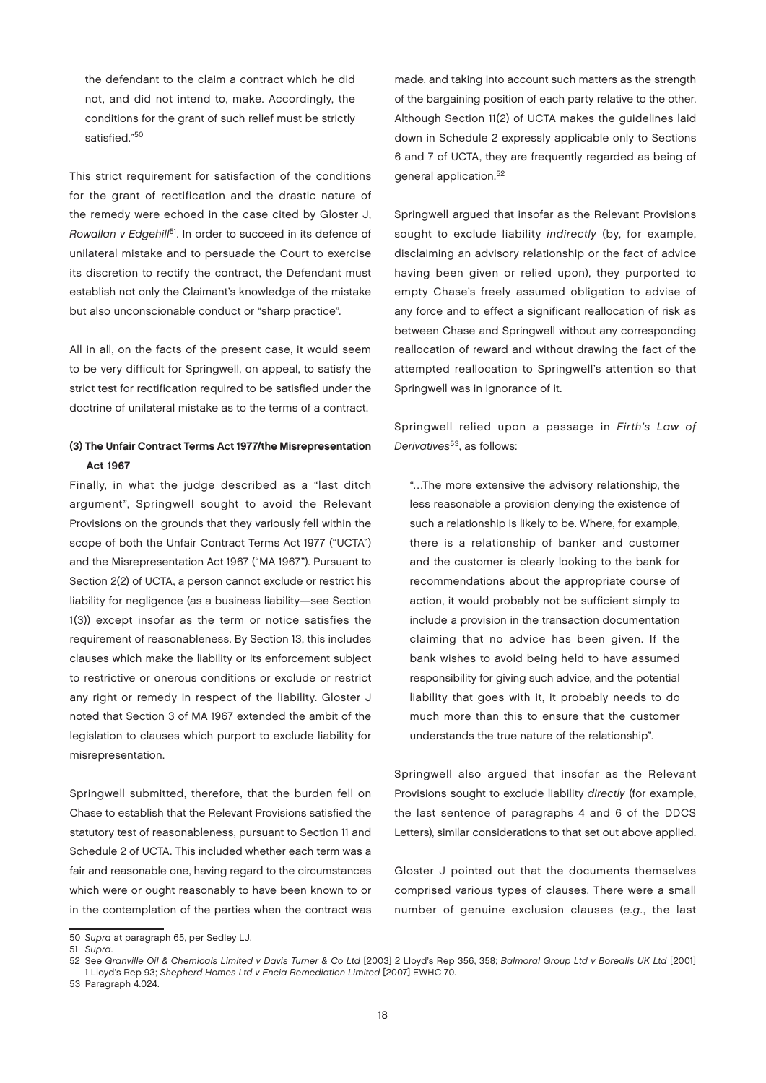the defendant to the claim a contract which he did not, and did not intend to, make. Accordingly, the conditions for the grant of such relief must be strictly satisfied."50

This strict requirement for satisfaction of the conditions for the grant of rectification and the drastic nature of the remedy were echoed in the case cited by Gloster J, Rowallan v Edgehill<sup>51</sup>. In order to succeed in its defence of unilateral mistake and to persuade the Court to exercise its discretion to rectify the contract, the Defendant must establish not only the Claimant's knowledge of the mistake but also unconscionable conduct or "sharp practice".

All in all, on the facts of the present case, it would seem to be very difficult for Springwell, on appeal, to satisfy the strict test for rectification required to be satisfied under the doctrine of unilateral mistake as to the terms of a contract.

#### (3) The Unfair Contract Terms Act 1977/the Misrepresentation Act 1967

Finally, in what the judge described as a "last ditch argument", Springwell sought to avoid the Relevant Provisions on the grounds that they variously fell within the scope of both the Unfair Contract Terms Act 1977 ("UCTA") and the Misrepresentation Act 1967 ("MA 1967"). Pursuant to Section 2(2) of UCTA, a person cannot exclude or restrict his liability for negligence (as a business liability—see Section 1(3)) except insofar as the term or notice satisfies the requirement of reasonableness. By Section 13, this includes clauses which make the liability or its enforcement subject to restrictive or onerous conditions or exclude or restrict any right or remedy in respect of the liability. Gloster J noted that Section 3 of MA 1967 extended the ambit of the legislation to clauses which purport to exclude liability for misrepresentation.

Springwell submitted, therefore, that the burden fell on Chase to establish that the Relevant Provisions satisfied the statutory test of reasonableness, pursuant to Section 11 and Schedule 2 of UCTA. This included whether each term was a fair and reasonable one, having regard to the circumstances which were or ought reasonably to have been known to or in the contemplation of the parties when the contract was

made, and taking into account such matters as the strength of the bargaining position of each party relative to the other. Although Section 11(2) of UCTA makes the guidelines laid down in Schedule 2 expressly applicable only to Sections 6 and 7 of UCTA, they are frequently regarded as being of general application.<sup>52</sup>

Springwell argued that insofar as the Relevant Provisions sought to exclude liability indirectly (by, for example, disclaiming an advisory relationship or the fact of advice having been given or relied upon), they purported to empty Chase's freely assumed obligation to advise of any force and to effect a significant reallocation of risk as between Chase and Springwell without any corresponding reallocation of reward and without drawing the fact of the attempted reallocation to Springwell's attention so that Springwell was in ignorance of it.

Springwell relied upon a passage in Firth's Law of Derivatives<sup>53</sup>, as follows:

"…The more extensive the advisory relationship, the less reasonable a provision denying the existence of such a relationship is likely to be. Where, for example, there is a relationship of banker and customer and the customer is clearly looking to the bank for recommendations about the appropriate course of action, it would probably not be sufficient simply to include a provision in the transaction documentation claiming that no advice has been given. If the bank wishes to avoid being held to have assumed responsibility for giving such advice, and the potential liability that goes with it, it probably needs to do much more than this to ensure that the customer understands the true nature of the relationship".

Springwell also argued that insofar as the Relevant Provisions sought to exclude liability directly (for example, the last sentence of paragraphs 4 and 6 of the DDCS Letters), similar considerations to that set out above applied.

Gloster J pointed out that the documents themselves comprised various types of clauses. There were a small number of genuine exclusion clauses (e.g., the last

<sup>50</sup> Supra at paragraph 65, per Sedley LJ.

<sup>51</sup> Supra.

<sup>52</sup> See Granville Oil & Chemicals Limited v Davis Turner & Co Ltd [2003] 2 Lloyd's Rep 356, 358; Balmoral Group Ltd v Borealis UK Ltd [2001] 1 Lloyd's Rep 93; Shepherd Homes Ltd v Encia Remediation Limited [2007] EWHC 70.

<sup>53</sup> Paragraph 4.024.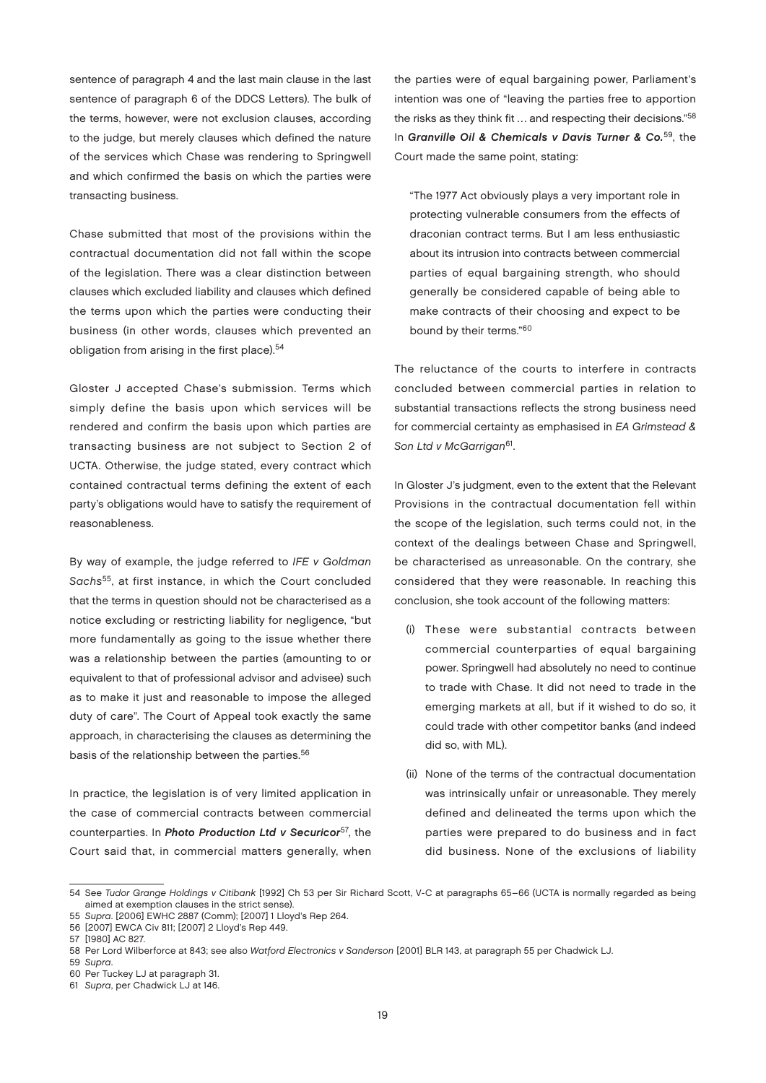sentence of paragraph 4 and the last main clause in the last sentence of paragraph 6 of the DDCS Letters). The bulk of the terms, however, were not exclusion clauses, according to the judge, but merely clauses which defined the nature of the services which Chase was rendering to Springwell and which confirmed the basis on which the parties were transacting business.

Chase submitted that most of the provisions within the contractual documentation did not fall within the scope of the legislation. There was a clear distinction between clauses which excluded liability and clauses which defined the terms upon which the parties were conducting their business (in other words, clauses which prevented an obligation from arising in the first place).<sup>54</sup>

Gloster J accepted Chase's submission. Terms which simply define the basis upon which services will be rendered and confirm the basis upon which parties are transacting business are not subject to Section 2 of UCTA. Otherwise, the judge stated, every contract which contained contractual terms defining the extent of each party's obligations would have to satisfy the requirement of reasonableness.

By way of example, the judge referred to IFE v Goldman Sachs<sup>55</sup>, at first instance, in which the Court concluded that the terms in question should not be characterised as a notice excluding or restricting liability for negligence, "but more fundamentally as going to the issue whether there was a relationship between the parties (amounting to or equivalent to that of professional advisor and advisee) such as to make it just and reasonable to impose the alleged duty of care". The Court of Appeal took exactly the same approach, in characterising the clauses as determining the basis of the relationship between the parties.<sup>56</sup>

In practice, the legislation is of very limited application in the case of commercial contracts between commercial counterparties. In Photo Production Ltd v Securicor<sup>57</sup>, the Court said that, in commercial matters generally, when the parties were of equal bargaining power, Parliament's intention was one of "leaving the parties free to apportion the risks as they think fit ... and respecting their decisions."<sup>58</sup> In Granville Oil & Chemicals v Davis Turner & Co.<sup>59</sup>, the Court made the same point, stating:

"The 1977 Act obviously plays a very important role in protecting vulnerable consumers from the effects of draconian contract terms. But I am less enthusiastic about its intrusion into contracts between commercial parties of equal bargaining strength, who should generally be considered capable of being able to make contracts of their choosing and expect to be bound by their terms."60

The reluctance of the courts to interfere in contracts concluded between commercial parties in relation to substantial transactions reflects the strong business need for commercial certainty as emphasised in EA Grimstead & Son Ltd v McGarrigan<sup>61</sup>.

In Gloster J's judgment, even to the extent that the Relevant Provisions in the contractual documentation fell within the scope of the legislation, such terms could not, in the context of the dealings between Chase and Springwell, be characterised as unreasonable. On the contrary, she considered that they were reasonable. In reaching this conclusion, she took account of the following matters:

- (i) These were substantial contracts between commercial counterparties of equal bargaining power. Springwell had absolutely no need to continue to trade with Chase. It did not need to trade in the emerging markets at all, but if it wished to do so, it could trade with other competitor banks (and indeed did so, with ML).
- (ii) None of the terms of the contractual documentation was intrinsically unfair or unreasonable. They merely defined and delineated the terms upon which the parties were prepared to do business and in fact did business. None of the exclusions of liability

59 Supra.

<sup>54</sup> See Tudor Grange Holdings v Citibank [1992] Ch 53 per Sir Richard Scott, V-C at paragraphs 65–66 (UCTA is normally regarded as being aimed at exemption clauses in the strict sense).

<sup>55</sup> Supra. [2006] EWHC 2887 (Comm); [2007] 1 Lloyd's Rep 264.

<sup>56</sup> [2007] EWCA Civ 811; [2007] 2 Lloyd's Rep 449.

<sup>57</sup> [1980] AC 827.

<sup>58</sup> Per Lord Wilberforce at 843; see also Watford Electronics v Sanderson [2001] BLR 143, at paragraph 55 per Chadwick LJ.

<sup>60</sup> Per Tuckey LJ at paragraph 31.

<sup>61</sup> Supra, per Chadwick LJ at 146.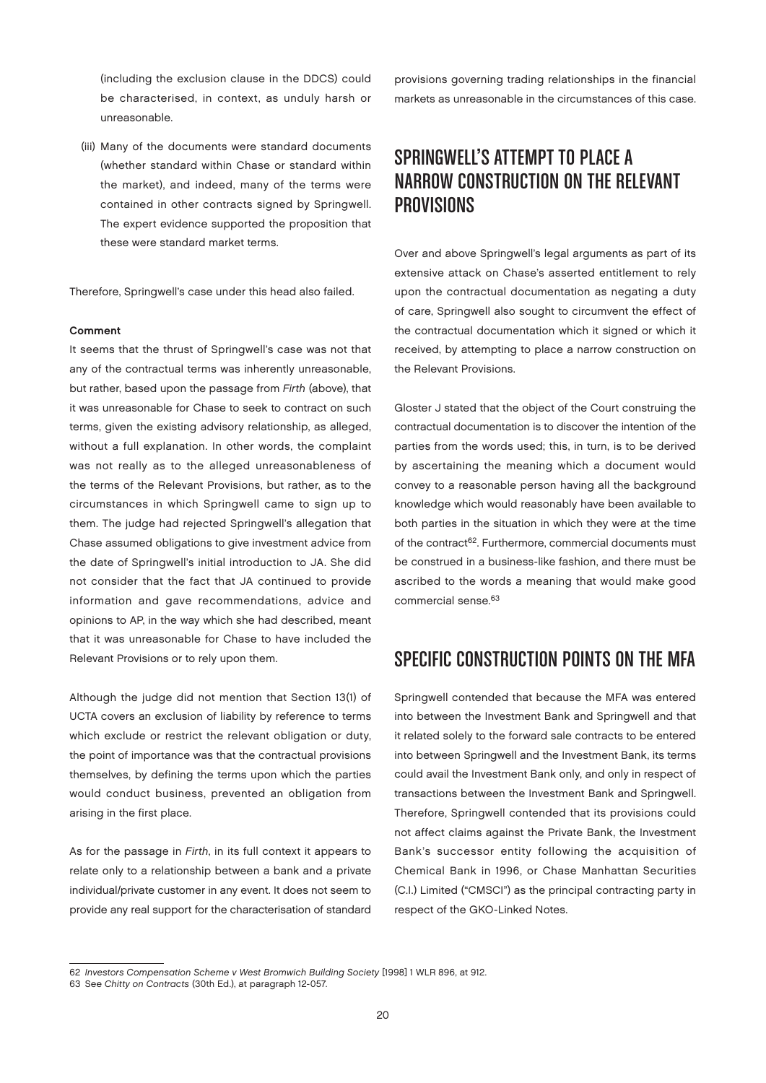(including the exclusion clause in the DDCS) could be characterised, in context, as unduly harsh or unreasonable.

(iii) Many of the documents were standard documents (whether standard within Chase or standard within the market), and indeed, many of the terms were contained in other contracts signed by Springwell. The expert evidence supported the proposition that these were standard market terms.

Therefore, Springwell's case under this head also failed.

#### Comment

It seems that the thrust of Springwell's case was not that any of the contractual terms was inherently unreasonable, but rather, based upon the passage from Firth (above), that it was unreasonable for Chase to seek to contract on such terms, given the existing advisory relationship, as alleged, without a full explanation. In other words, the complaint was not really as to the alleged unreasonableness of the terms of the Relevant Provisions, but rather, as to the circumstances in which Springwell came to sign up to them. The judge had rejected Springwell's allegation that Chase assumed obligations to give investment advice from the date of Springwell's initial introduction to JA. She did not consider that the fact that JA continued to provide information and gave recommendations, advice and opinions to AP, in the way which she had described, meant that it was unreasonable for Chase to have included the Relevant Provisions or to rely upon them.

Although the judge did not mention that Section 13(1) of UCTA covers an exclusion of liability by reference to terms which exclude or restrict the relevant obligation or duty, the point of importance was that the contractual provisions themselves, by defining the terms upon which the parties would conduct business, prevented an obligation from arising in the first place.

As for the passage in Firth, in its full context it appears to relate only to a relationship between a bank and a private individual/private customer in any event. It does not seem to provide any real support for the characterisation of standard provisions governing trading relationships in the financial markets as unreasonable in the circumstances of this case.

## Springwell's Attempt to Place a NARROW CONSTRUCTION ON THE RELEVANT Provisions

Over and above Springwell's legal arguments as part of its extensive attack on Chase's asserted entitlement to rely upon the contractual documentation as negating a duty of care, Springwell also sought to circumvent the effect of the contractual documentation which it signed or which it received, by attempting to place a narrow construction on the Relevant Provisions.

Gloster J stated that the object of the Court construing the contractual documentation is to discover the intention of the parties from the words used; this, in turn, is to be derived by ascertaining the meaning which a document would convey to a reasonable person having all the background knowledge which would reasonably have been available to both parties in the situation in which they were at the time of the contract<sup>62</sup>. Furthermore, commercial documents must be construed in a business-like fashion, and there must be ascribed to the words a meaning that would make good commercial sense.63

#### SPECIFIC CONSTRUCTION POINTS ON THE MFA

Springwell contended that because the MFA was entered into between the Investment Bank and Springwell and that it related solely to the forward sale contracts to be entered into between Springwell and the Investment Bank, its terms could avail the Investment Bank only, and only in respect of transactions between the Investment Bank and Springwell. Therefore, Springwell contended that its provisions could not affect claims against the Private Bank, the Investment Bank's successor entity following the acquisition of Chemical Bank in 1996, or Chase Manhattan Securities (C.I.) Limited ("CMSCI") as the principal contracting party in respect of the GKO-Linked Notes.

<sup>62</sup> Investors Compensation Scheme v West Bromwich Building Society [1998] 1 WLR 896, at 912.

<sup>63</sup> See Chitty on Contracts (30th Ed.), at paragraph 12-057.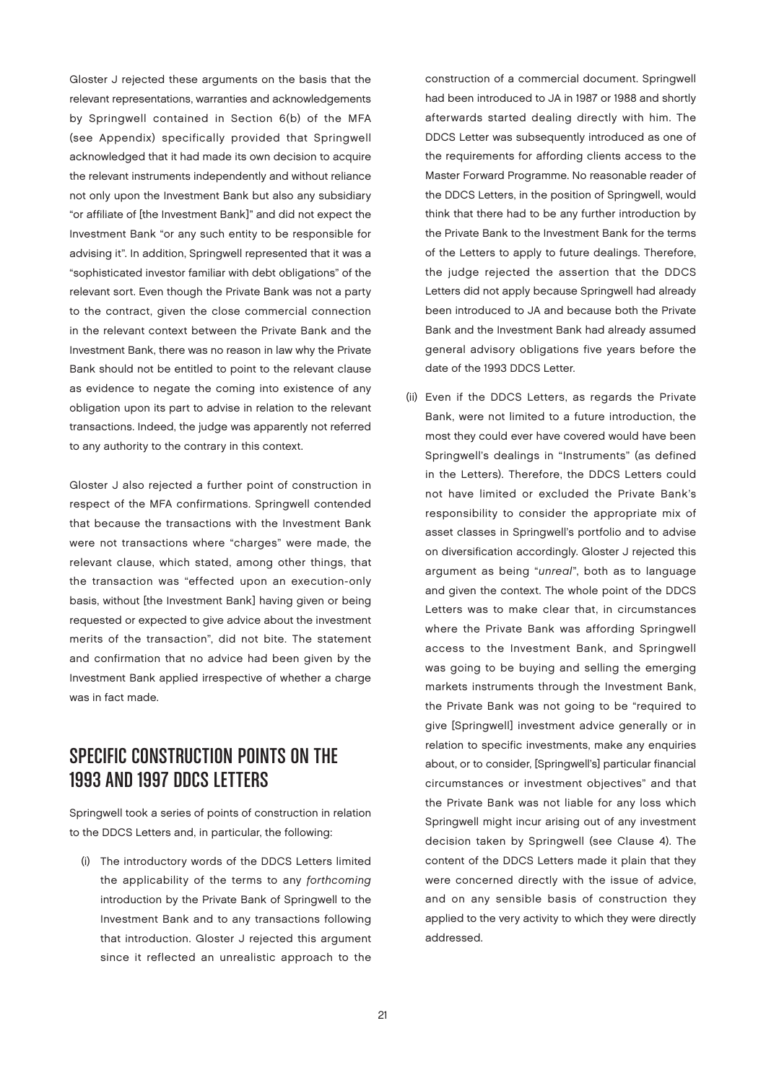Gloster J rejected these arguments on the basis that the relevant representations, warranties and acknowledgements by Springwell contained in Section 6(b) of the MFA (see Appendix) specifically provided that Springwell acknowledged that it had made its own decision to acquire the relevant instruments independently and without reliance not only upon the Investment Bank but also any subsidiary "or affiliate of [the Investment Bank]" and did not expect the Investment Bank "or any such entity to be responsible for advising it". In addition, Springwell represented that it was a "sophisticated investor familiar with debt obligations" of the relevant sort. Even though the Private Bank was not a party to the contract, given the close commercial connection in the relevant context between the Private Bank and the Investment Bank, there was no reason in law why the Private Bank should not be entitled to point to the relevant clause as evidence to negate the coming into existence of any obligation upon its part to advise in relation to the relevant transactions. Indeed, the judge was apparently not referred to any authority to the contrary in this context.

Gloster J also rejected a further point of construction in respect of the MFA confirmations. Springwell contended that because the transactions with the Investment Bank were not transactions where "charges" were made, the relevant clause, which stated, among other things, that the transaction was "effected upon an execution-only basis, without [the Investment Bank] having given or being requested or expected to give advice about the investment merits of the transaction", did not bite. The statement and confirmation that no advice had been given by the Investment Bank applied irrespective of whether a charge was in fact made.

## SPECIFIC CONSTRUCTION POINTS ON THE 1993 and 1997 DDCS Letters

Springwell took a series of points of construction in relation to the DDCS Letters and, in particular, the following:

(i) The introductory words of the DDCS Letters limited the applicability of the terms to any forthcoming introduction by the Private Bank of Springwell to the Investment Bank and to any transactions following that introduction. Gloster J rejected this argument since it reflected an unrealistic approach to the

construction of a commercial document. Springwell had been introduced to JA in 1987 or 1988 and shortly afterwards started dealing directly with him. The DDCS Letter was subsequently introduced as one of the requirements for affording clients access to the Master Forward Programme. No reasonable reader of the DDCS Letters, in the position of Springwell, would think that there had to be any further introduction by the Private Bank to the Investment Bank for the terms of the Letters to apply to future dealings. Therefore, the judge rejected the assertion that the DDCS Letters did not apply because Springwell had already been introduced to JA and because both the Private Bank and the Investment Bank had already assumed general advisory obligations five years before the date of the 1993 DDCS Letter.

(ii) Even if the DDCS Letters, as regards the Private Bank, were not limited to a future introduction, the most they could ever have covered would have been Springwell's dealings in "Instruments" (as defined in the Letters). Therefore, the DDCS Letters could not have limited or excluded the Private Bank's responsibility to consider the appropriate mix of asset classes in Springwell's portfolio and to advise on diversification accordingly. Gloster J rejected this argument as being "unreal", both as to language and given the context. The whole point of the DDCS Letters was to make clear that, in circumstances where the Private Bank was affording Springwell access to the Investment Bank, and Springwell was going to be buying and selling the emerging markets instruments through the Investment Bank, the Private Bank was not going to be "required to give [Springwell] investment advice generally or in relation to specific investments, make any enquiries about, or to consider, [Springwell's] particular financial circumstances or investment objectives" and that the Private Bank was not liable for any loss which Springwell might incur arising out of any investment decision taken by Springwell (see Clause 4). The content of the DDCS Letters made it plain that they were concerned directly with the issue of advice, and on any sensible basis of construction they applied to the very activity to which they were directly addressed.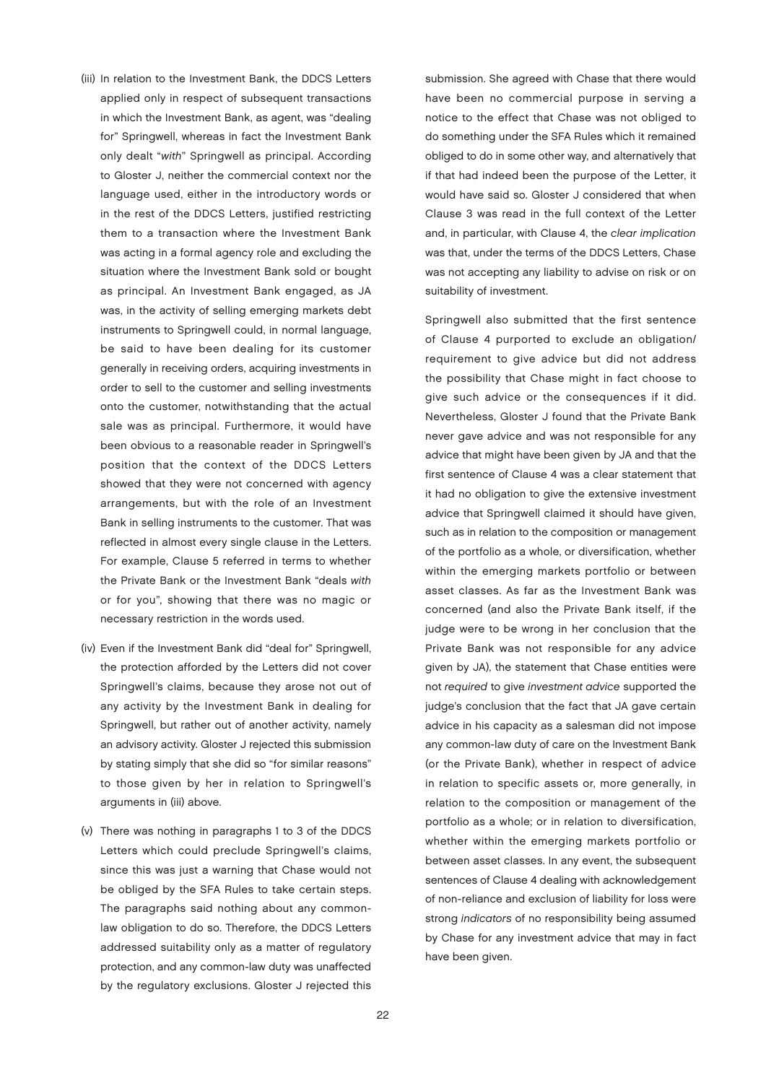- (iii) In relation to the Investment Bank, the DDCS Letters applied only in respect of subsequent transactions in which the Investment Bank, as agent, was "dealing for" Springwell, whereas in fact the Investment Bank only dealt "with" Springwell as principal. According to Gloster J, neither the commercial context nor the language used, either in the introductory words or in the rest of the DDCS Letters, justified restricting them to a transaction where the Investment Bank was acting in a formal agency role and excluding the situation where the Investment Bank sold or bought as principal. An Investment Bank engaged, as JA was, in the activity of selling emerging markets debt instruments to Springwell could, in normal language, be said to have been dealing for its customer generally in receiving orders, acquiring investments in order to sell to the customer and selling investments onto the customer, notwithstanding that the actual sale was as principal. Furthermore, it would have been obvious to a reasonable reader in Springwell's position that the context of the DDCS Letters showed that they were not concerned with agency arrangements, but with the role of an Investment Bank in selling instruments to the customer. That was reflected in almost every single clause in the Letters. For example, Clause 5 referred in terms to whether the Private Bank or the Investment Bank "deals with or for you", showing that there was no magic or necessary restriction in the words used.
- (iv) Even if the Investment Bank did "deal for" Springwell, the protection afforded by the Letters did not cover Springwell's claims, because they arose not out of any activity by the Investment Bank in dealing for Springwell, but rather out of another activity, namely an advisory activity. Gloster J rejected this submission by stating simply that she did so "for similar reasons" to those given by her in relation to Springwell's arguments in (iii) above.
- (v) There was nothing in paragraphs 1 to 3 of the DDCS Letters which could preclude Springwell's claims, since this was just a warning that Chase would not be obliged by the SFA Rules to take certain steps. The paragraphs said nothing about any commonlaw obligation to do so. Therefore, the DDCS Letters addressed suitability only as a matter of regulatory protection, and any common-law duty was unaffected by the regulatory exclusions. Gloster J rejected this

submission. She agreed with Chase that there would have been no commercial purpose in serving a notice to the effect that Chase was not obliged to do something under the SFA Rules which it remained obliged to do in some other way, and alternatively that if that had indeed been the purpose of the Letter, it would have said so. Gloster J considered that when Clause 3 was read in the full context of the Letter and, in particular, with Clause 4, the clear implication was that, under the terms of the DDCS Letters, Chase was not accepting any liability to advise on risk or on suitability of investment.

Springwell also submitted that the first sentence of Clause 4 purported to exclude an obligation/ requirement to give advice but did not address the possibility that Chase might in fact choose to give such advice or the consequences if it did. Nevertheless, Gloster J found that the Private Bank never gave advice and was not responsible for any advice that might have been given by JA and that the first sentence of Clause 4 was a clear statement that it had no obligation to give the extensive investment advice that Springwell claimed it should have given, such as in relation to the composition or management of the portfolio as a whole, or diversification, whether within the emerging markets portfolio or between asset classes. As far as the Investment Bank was concerned (and also the Private Bank itself, if the judge were to be wrong in her conclusion that the Private Bank was not responsible for any advice given by JA), the statement that Chase entities were not required to give investment advice supported the judge's conclusion that the fact that JA gave certain advice in his capacity as a salesman did not impose any common-law duty of care on the Investment Bank (or the Private Bank), whether in respect of advice in relation to specific assets or, more generally, in relation to the composition or management of the portfolio as a whole; or in relation to diversification, whether within the emerging markets portfolio or between asset classes. In any event, the subsequent sentences of Clause 4 dealing with acknowledgement of non-reliance and exclusion of liability for loss were strong indicators of no responsibility being assumed by Chase for any investment advice that may in fact have been given.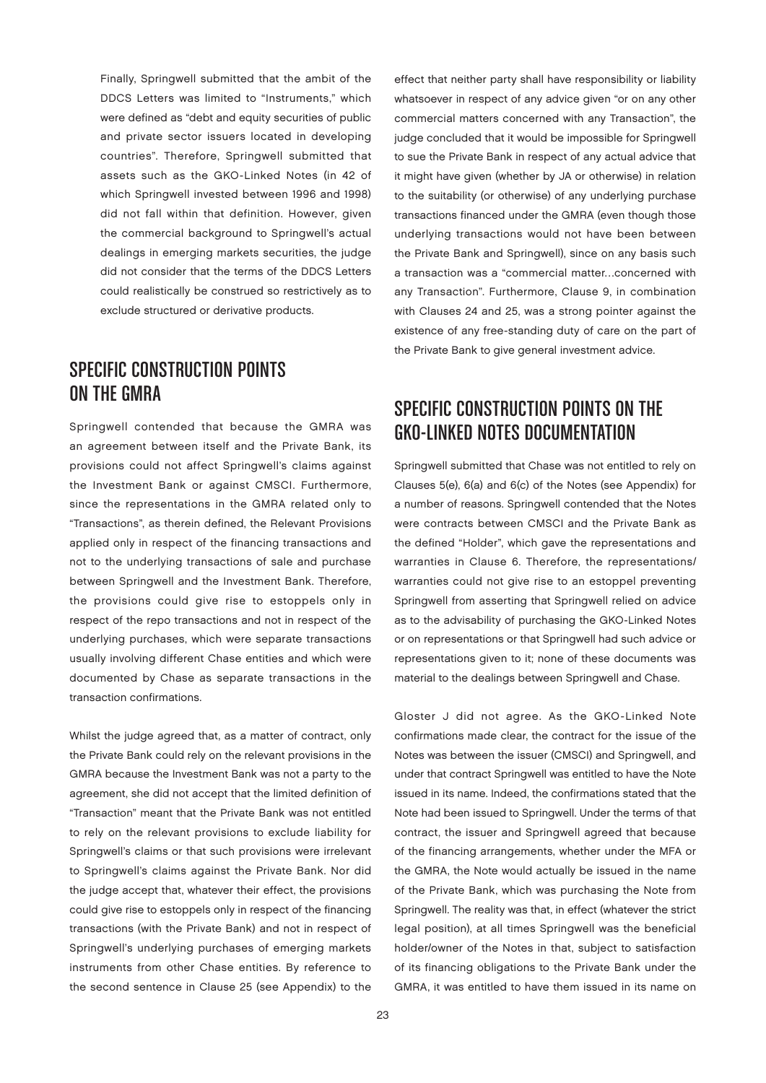Finally, Springwell submitted that the ambit of the DDCS Letters was limited to "Instruments," which were defined as "debt and equity securities of public and private sector issuers located in developing countries". Therefore, Springwell submitted that assets such as the GKO-Linked Notes (in 42 of which Springwell invested between 1996 and 1998) did not fall within that definition. However, given the commercial background to Springwell's actual dealings in emerging markets securities, the judge did not consider that the terms of the DDCS Letters could realistically be construed so restrictively as to exclude structured or derivative products.

#### SPECIFIC CONSTRUCTION POINTS ON THE GMRA

Springwell contended that because the GMRA was an agreement between itself and the Private Bank, its provisions could not affect Springwell's claims against the Investment Bank or against CMSCI. Furthermore, since the representations in the GMRA related only to "Transactions", as therein defined, the Relevant Provisions applied only in respect of the financing transactions and not to the underlying transactions of sale and purchase between Springwell and the Investment Bank. Therefore, the provisions could give rise to estoppels only in respect of the repo transactions and not in respect of the underlying purchases, which were separate transactions usually involving different Chase entities and which were documented by Chase as separate transactions in the transaction confirmations.

Whilst the judge agreed that, as a matter of contract, only the Private Bank could rely on the relevant provisions in the GMRA because the Investment Bank was not a party to the agreement, she did not accept that the limited definition of "Transaction" meant that the Private Bank was not entitled to rely on the relevant provisions to exclude liability for Springwell's claims or that such provisions were irrelevant to Springwell's claims against the Private Bank. Nor did the judge accept that, whatever their effect, the provisions could give rise to estoppels only in respect of the financing transactions (with the Private Bank) and not in respect of Springwell's underlying purchases of emerging markets instruments from other Chase entities. By reference to the second sentence in Clause 25 (see Appendix) to the

effect that neither party shall have responsibility or liability whatsoever in respect of any advice given "or on any other commercial matters concerned with any Transaction", the judge concluded that it would be impossible for Springwell to sue the Private Bank in respect of any actual advice that it might have given (whether by JA or otherwise) in relation to the suitability (or otherwise) of any underlying purchase transactions financed under the GMRA (even though those underlying transactions would not have been between the Private Bank and Springwell), since on any basis such a transaction was a "commercial matter…concerned with any Transaction". Furthermore, Clause 9, in combination with Clauses 24 and 25, was a strong pointer against the existence of any free-standing duty of care on the part of the Private Bank to give general investment advice.

## SPECIFIC CONSTRUCTION POINTS ON THE GKO-Linked Notes documentation

Springwell submitted that Chase was not entitled to rely on Clauses 5(e), 6(a) and 6(c) of the Notes (see Appendix) for a number of reasons. Springwell contended that the Notes were contracts between CMSCI and the Private Bank as the defined "Holder", which gave the representations and warranties in Clause 6. Therefore, the representations/ warranties could not give rise to an estoppel preventing Springwell from asserting that Springwell relied on advice as to the advisability of purchasing the GKO-Linked Notes or on representations or that Springwell had such advice or representations given to it; none of these documents was material to the dealings between Springwell and Chase.

Gloster J did not agree. As the GKO-Linked Note confirmations made clear, the contract for the issue of the Notes was between the issuer (CMSCI) and Springwell, and under that contract Springwell was entitled to have the Note issued in its name. Indeed, the confirmations stated that the Note had been issued to Springwell. Under the terms of that contract, the issuer and Springwell agreed that because of the financing arrangements, whether under the MFA or the GMRA, the Note would actually be issued in the name of the Private Bank, which was purchasing the Note from Springwell. The reality was that, in effect (whatever the strict legal position), at all times Springwell was the beneficial holder/owner of the Notes in that, subject to satisfaction of its financing obligations to the Private Bank under the GMRA, it was entitled to have them issued in its name on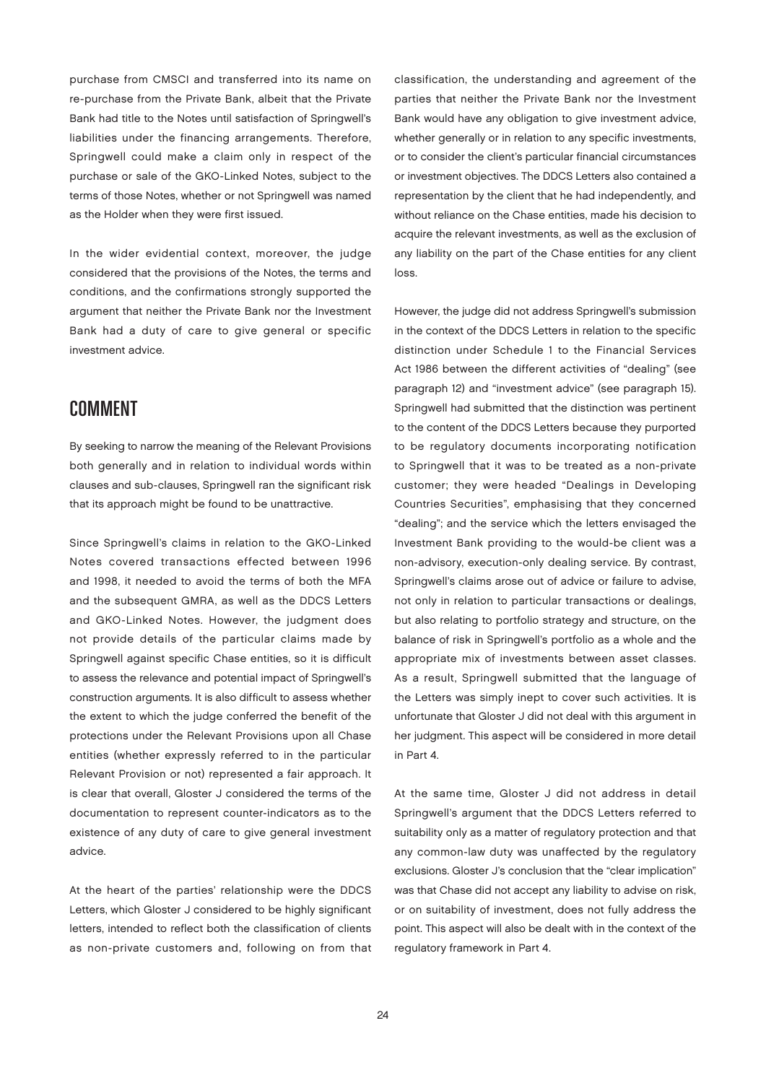purchase from CMSCI and transferred into its name on re-purchase from the Private Bank, albeit that the Private Bank had title to the Notes until satisfaction of Springwell's liabilities under the financing arrangements. Therefore, Springwell could make a claim only in respect of the purchase or sale of the GKO-Linked Notes, subject to the terms of those Notes, whether or not Springwell was named as the Holder when they were first issued.

In the wider evidential context, moreover, the judge considered that the provisions of the Notes, the terms and conditions, and the confirmations strongly supported the argument that neither the Private Bank nor the Investment Bank had a duty of care to give general or specific investment advice.

#### **COMMENT**

By seeking to narrow the meaning of the Relevant Provisions both generally and in relation to individual words within clauses and sub-clauses, Springwell ran the significant risk that its approach might be found to be unattractive.

Since Springwell's claims in relation to the GKO-Linked Notes covered transactions effected between 1996 and 1998, it needed to avoid the terms of both the MFA and the subsequent GMRA, as well as the DDCS Letters and GKO-Linked Notes. However, the judgment does not provide details of the particular claims made by Springwell against specific Chase entities, so it is difficult to assess the relevance and potential impact of Springwell's construction arguments. It is also difficult to assess whether the extent to which the judge conferred the benefit of the protections under the Relevant Provisions upon all Chase entities (whether expressly referred to in the particular Relevant Provision or not) represented a fair approach. It is clear that overall, Gloster J considered the terms of the documentation to represent counter-indicators as to the existence of any duty of care to give general investment advice.

At the heart of the parties' relationship were the DDCS Letters, which Gloster J considered to be highly significant letters, intended to reflect both the classification of clients as non-private customers and, following on from that

classification, the understanding and agreement of the parties that neither the Private Bank nor the Investment Bank would have any obligation to give investment advice, whether generally or in relation to any specific investments, or to consider the client's particular financial circumstances or investment objectives. The DDCS Letters also contained a representation by the client that he had independently, and without reliance on the Chase entities, made his decision to acquire the relevant investments, as well as the exclusion of any liability on the part of the Chase entities for any client loss.

However, the judge did not address Springwell's submission in the context of the DDCS Letters in relation to the specific distinction under Schedule 1 to the Financial Services Act 1986 between the different activities of "dealing" (see paragraph 12) and "investment advice" (see paragraph 15). Springwell had submitted that the distinction was pertinent to the content of the DDCS Letters because they purported to be regulatory documents incorporating notification to Springwell that it was to be treated as a non-private customer; they were headed "Dealings in Developing Countries Securities", emphasising that they concerned "dealing"; and the service which the letters envisaged the Investment Bank providing to the would-be client was a non-advisory, execution-only dealing service. By contrast, Springwell's claims arose out of advice or failure to advise, not only in relation to particular transactions or dealings, but also relating to portfolio strategy and structure, on the balance of risk in Springwell's portfolio as a whole and the appropriate mix of investments between asset classes. As a result, Springwell submitted that the language of the Letters was simply inept to cover such activities. It is unfortunate that Gloster J did not deal with this argument in her judgment. This aspect will be considered in more detail in Part 4.

At the same time, Gloster J did not address in detail Springwell's argument that the DDCS Letters referred to suitability only as a matter of regulatory protection and that any common-law duty was unaffected by the regulatory exclusions. Gloster J's conclusion that the "clear implication" was that Chase did not accept any liability to advise on risk, or on suitability of investment, does not fully address the point. This aspect will also be dealt with in the context of the regulatory framework in Part 4.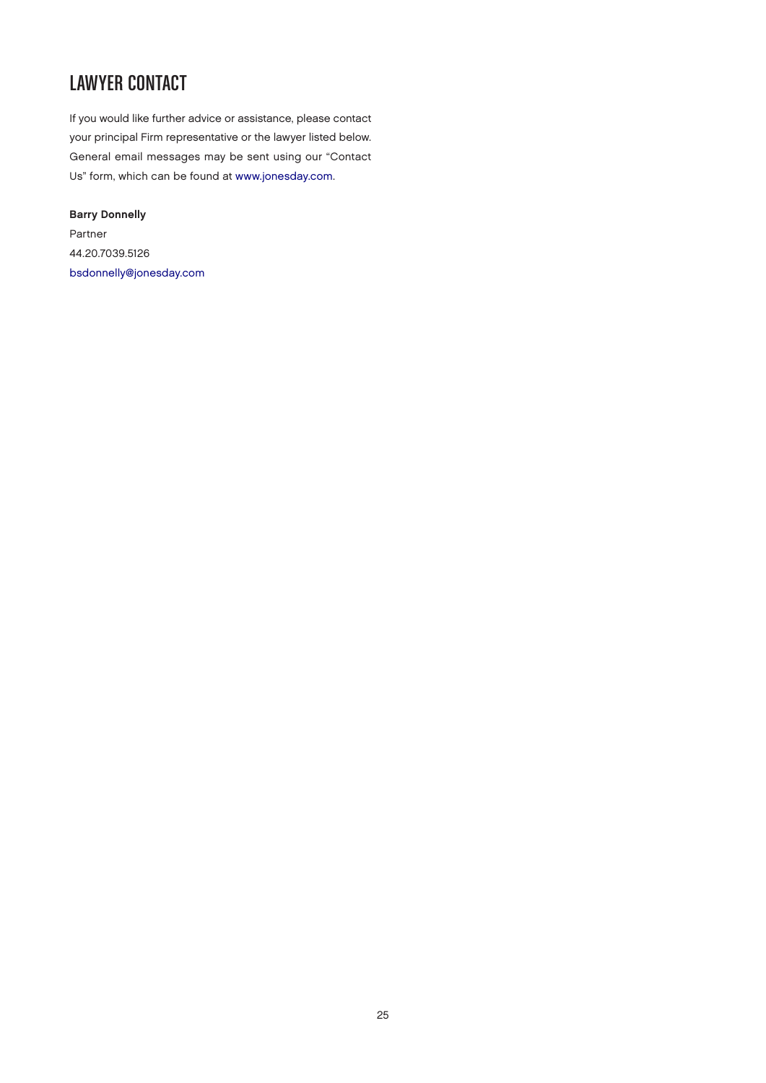# Lawyer Contact

If you would like further advice or assistance, please contact your principal Firm representative or the lawyer listed below. General email messages may be sent using our "Contact Us" form, which can be found at [www.jonesday.com.](http://www.jonesday.com)

Barry Donnelly Partner 44.20.7039.5126 [bsdonnelly@jonesday.com](mailto:bsdonnelly@jonesday.com)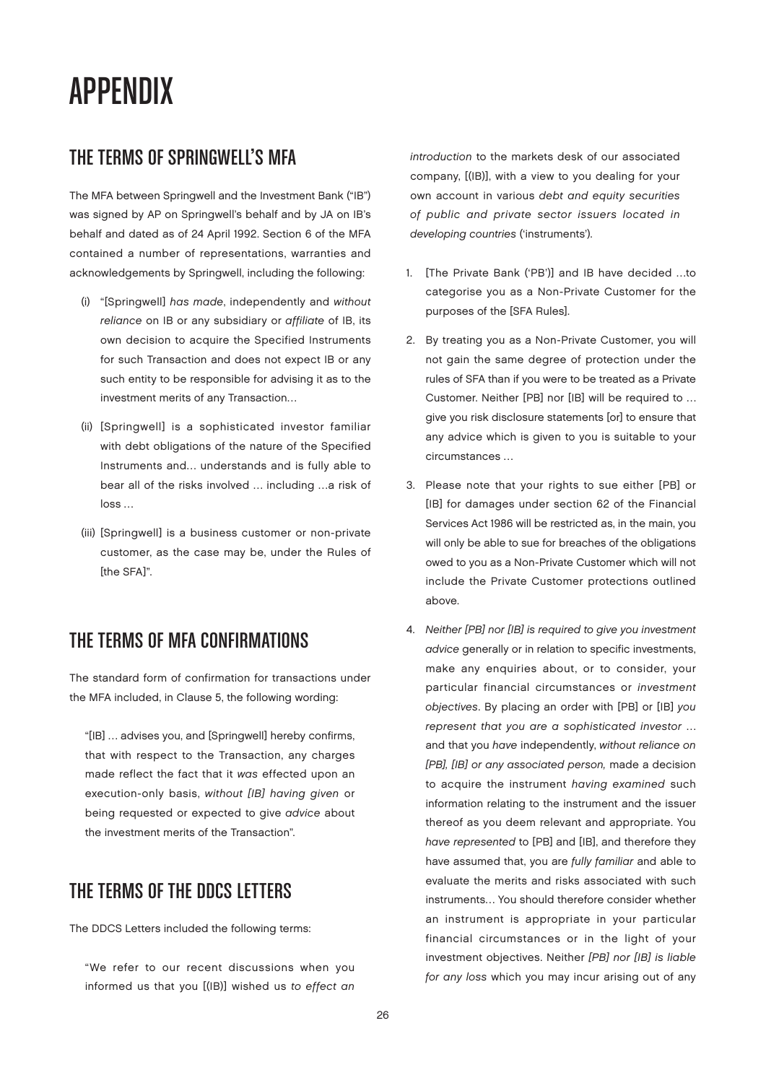# APPENDIX

### The Terms of Springwell's MFA

The MFA between Springwell and the Investment Bank ("IB") was signed by AP on Springwell's behalf and by JA on IB's behalf and dated as of 24 April 1992. Section 6 of the MFA contained a number of representations, warranties and acknowledgements by Springwell, including the following:

- (i) "[Springwell] has made, independently and without reliance on IB or any subsidiary or affiliate of IB, its own decision to acquire the Specified Instruments for such Transaction and does not expect IB or any such entity to be responsible for advising it as to the investment merits of any Transaction…
- (ii) [Springwell] is a sophisticated investor familiar with debt obligations of the nature of the Specified Instruments and… understands and is fully able to bear all of the risks involved … including …a risk of loss …
- (iii) [Springwell] is a business customer or non-private customer, as the case may be, under the Rules of [the SFA]".

#### The Terms of MFA Confirmations

The standard form of confirmation for transactions under the MFA included, in Clause 5, the following wording:

"[IB] … advises you, and [Springwell] hereby confirms, that with respect to the Transaction, any charges made reflect the fact that it was effected upon an execution-only basis, without [IB] having given or being requested or expected to give advice about the investment merits of the Transaction".

## The Terms of the DDCS Letters

The DDCS Letters included the following terms:

"We refer to our recent discussions when you informed us that you [(IB)] wished us to effect an introduction to the markets desk of our associated company, [(IB)], with a view to you dealing for your own account in various debt and equity securities of public and private sector issuers located in developing countries ('instruments').

- 1. [The Private Bank ('PB')] and IB have decided …to categorise you as a Non-Private Customer for the purposes of the [SFA Rules].
- 2. By treating you as a Non-Private Customer, you will not gain the same degree of protection under the rules of SFA than if you were to be treated as a Private Customer. Neither [PB] nor [IB] will be required to … give you risk disclosure statements [or] to ensure that any advice which is given to you is suitable to your circumstances …
- 3. Please note that your rights to sue either [PB] or [IB] for damages under section 62 of the Financial Services Act 1986 will be restricted as, in the main, you will only be able to sue for breaches of the obligations owed to you as a Non-Private Customer which will not include the Private Customer protections outlined above.
- 4. Neither [PB] nor [IB] is required to give you investment advice generally or in relation to specific investments, make any enquiries about, or to consider, your particular financial circumstances or investment objectives. By placing an order with [PB] or [IB] you represent that you are a sophisticated investor … and that you have independently, without reliance on [PB], [IB] or any associated person, made a decision to acquire the instrument having examined such information relating to the instrument and the issuer thereof as you deem relevant and appropriate. You have represented to [PB] and [IB], and therefore they have assumed that, you are fully familiar and able to evaluate the merits and risks associated with such instruments… You should therefore consider whether an instrument is appropriate in your particular financial circumstances or in the light of your investment objectives. Neither [PB] nor [IB] is liable for any loss which you may incur arising out of any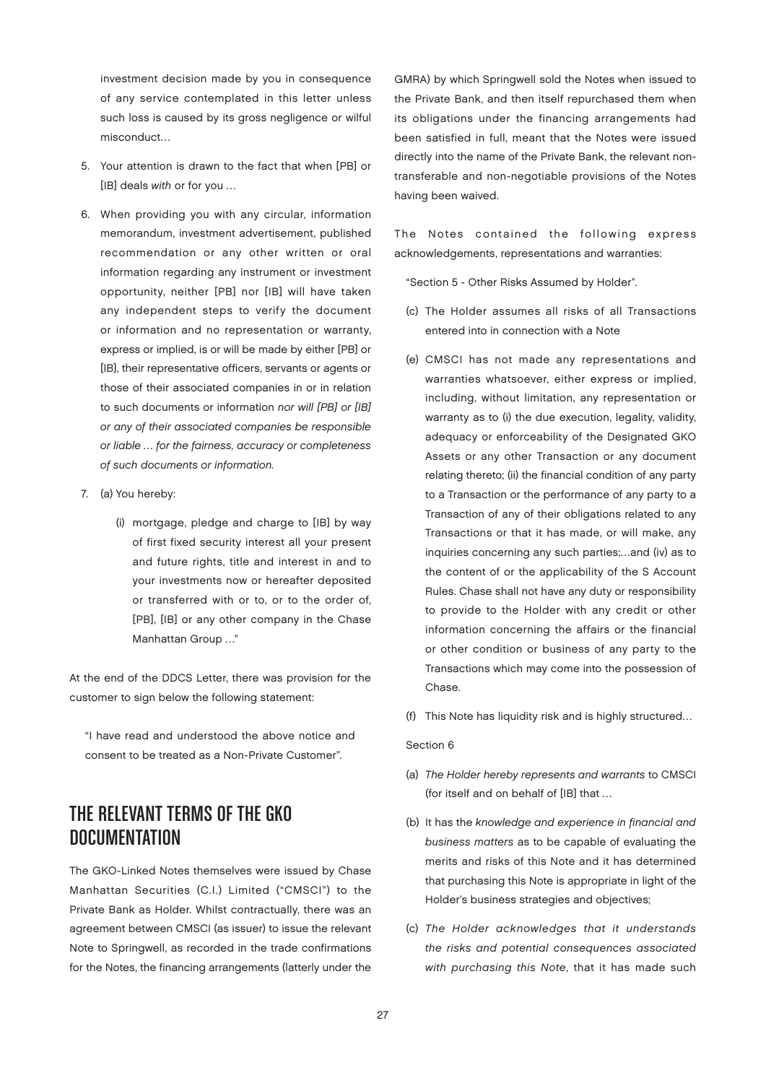investment decision made by you in consequence of any service contemplated in this letter unless such loss is caused by its gross negligence or wilful misconduct…

- 5. Your attention is drawn to the fact that when [PB] or [IB] deals with or for you …
- 6. When providing you with any circular, information memorandum, investment advertisement, published recommendation or any other written or oral information regarding any instrument or investment opportunity, neither [PB] nor [IB] will have taken any independent steps to verify the document or information and no representation or warranty, express or implied, is or will be made by either [PB] or [IB], their representative officers, servants or agents or those of their associated companies in or in relation to such documents or information nor will [PB] or [IB] or any of their associated companies be responsible or liable … for the fairness, accuracy or completeness of such documents or information.
- 7. (a) You hereby:
	- (i) mortgage, pledge and charge to [IB] by way of first fixed security interest all your present and future rights, title and interest in and to your investments now or hereafter deposited or transferred with or to, or to the order of, [PB], [IB] or any other company in the Chase Manhattan Group …"

At the end of the DDCS Letter, there was provision for the customer to sign below the following statement:

"I have read and understood the above notice and consent to be treated as a Non-Private Customer".

## The Relevant Terms of the GKO **DOCUMENTATION**

The GKO-Linked Notes themselves were issued by Chase Manhattan Securities (C.I.) Limited ("CMSCI") to the Private Bank as Holder. Whilst contractually, there was an agreement between CMSCI (as issuer) to issue the relevant Note to Springwell, as recorded in the trade confirmations for the Notes, the financing arrangements (latterly under the

GMRA) by which Springwell sold the Notes when issued to the Private Bank, and then itself repurchased them when its obligations under the financing arrangements had been satisfied in full, meant that the Notes were issued directly into the name of the Private Bank, the relevant nontransferable and non-negotiable provisions of the Notes having been waived.

The Notes contained the following express acknowledgements, representations and warranties:

"Section 5 - Other Risks Assumed by Holder".

- (c) The Holder assumes all risks of all Transactions entered into in connection with a Note
- (e) CMSCI has not made any representations and warranties whatsoever, either express or implied, including, without limitation, any representation or warranty as to (i) the due execution, legality, validity, adequacy or enforceability of the Designated GKO Assets or any other Transaction or any document relating thereto; (ii) the financial condition of any party to a Transaction or the performance of any party to a Transaction of any of their obligations related to any Transactions or that it has made, or will make, any inquiries concerning any such parties;…and (iv) as to the content of or the applicability of the S Account Rules. Chase shall not have any duty or responsibility to provide to the Holder with any credit or other information concerning the affairs or the financial or other condition or business of any party to the Transactions which may come into the possession of Chase.
- (f) This Note has liquidity risk and is highly structured...

#### Section 6

- (a) The Holder hereby represents and warrants to CMSCI (for itself and on behalf of [IB] that …
- (b) It has the knowledge and experience in financial and business matters as to be capable of evaluating the merits and risks of this Note and it has determined that purchasing this Note is appropriate in light of the Holder's business strategies and objectives;
- (c) The Holder acknowledges that it understands the risks and potential consequences associated with purchasing this Note, that it has made such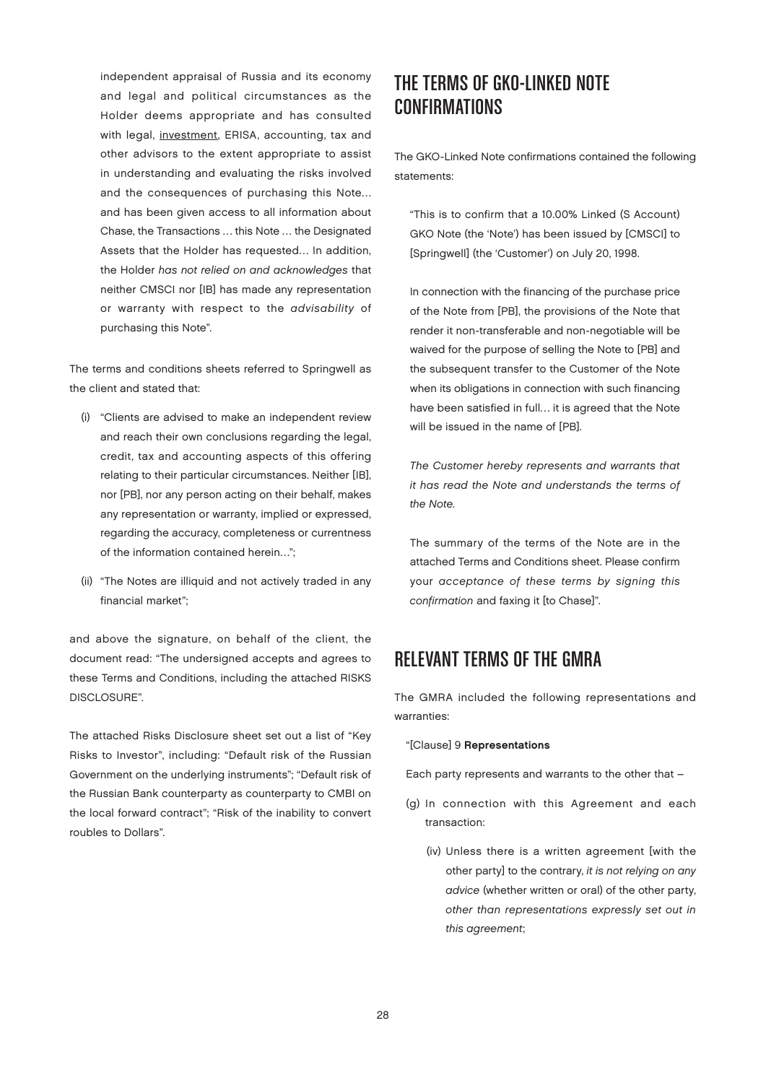independent appraisal of Russia and its economy and legal and political circumstances as the Holder deems appropriate and has consulted with legal, investment, ERISA, accounting, tax and other advisors to the extent appropriate to assist in understanding and evaluating the risks involved and the consequences of purchasing this Note… and has been given access to all information about Chase, the Transactions … this Note … the Designated Assets that the Holder has requested… In addition, the Holder has not relied on and acknowledges that neither CMSCI nor [IB] has made any representation or warranty with respect to the advisability of purchasing this Note".

The terms and conditions sheets referred to Springwell as the client and stated that:

- (i) "Clients are advised to make an independent review and reach their own conclusions regarding the legal, credit, tax and accounting aspects of this offering relating to their particular circumstances. Neither [IB], nor [PB], nor any person acting on their behalf, makes any representation or warranty, implied or expressed, regarding the accuracy, completeness or currentness of the information contained herein…";
- (ii) "The Notes are illiquid and not actively traded in any financial market";

and above the signature, on behalf of the client, the document read: "The undersigned accepts and agrees to these Terms and Conditions, including the attached RISKS DISCLOSURE".

The attached Risks Disclosure sheet set out a list of "Key Risks to Investor", including: "Default risk of the Russian Government on the underlying instruments"; "Default risk of the Russian Bank counterparty as counterparty to CMBI on the local forward contract"; "Risk of the inability to convert roubles to Dollars".

## The Terms of GKO-Linked Note **CONFIRMATIONS**

The GKO-Linked Note confirmations contained the following statements:

"This is to confirm that a 10.00% Linked (S Account) GKO Note (the 'Note') has been issued by [CMSCI] to [Springwell] (the 'Customer') on July 20, 1998.

In connection with the financing of the purchase price of the Note from [PB], the provisions of the Note that render it non-transferable and non-negotiable will be waived for the purpose of selling the Note to [PB] and the subsequent transfer to the Customer of the Note when its obligations in connection with such financing have been satisfied in full… it is agreed that the Note will be issued in the name of [PB].

The Customer hereby represents and warrants that it has read the Note and understands the terms of the Note.

The summary of the terms of the Note are in the attached Terms and Conditions sheet. Please confirm your acceptance of these terms by signing this confirmation and faxing it [to Chase]".

### Relevant Terms of the GMRA

The GMRA included the following representations and warranties:

#### "[Clause] 9 Representations

Each party represents and warrants to the other that –

- (g) In connection with this Agreement and each transaction:
	- (iv) Unless there is a written agreement [with the other party] to the contrary, it is not relying on any advice (whether written or oral) of the other party, other than representations expressly set out in this agreement;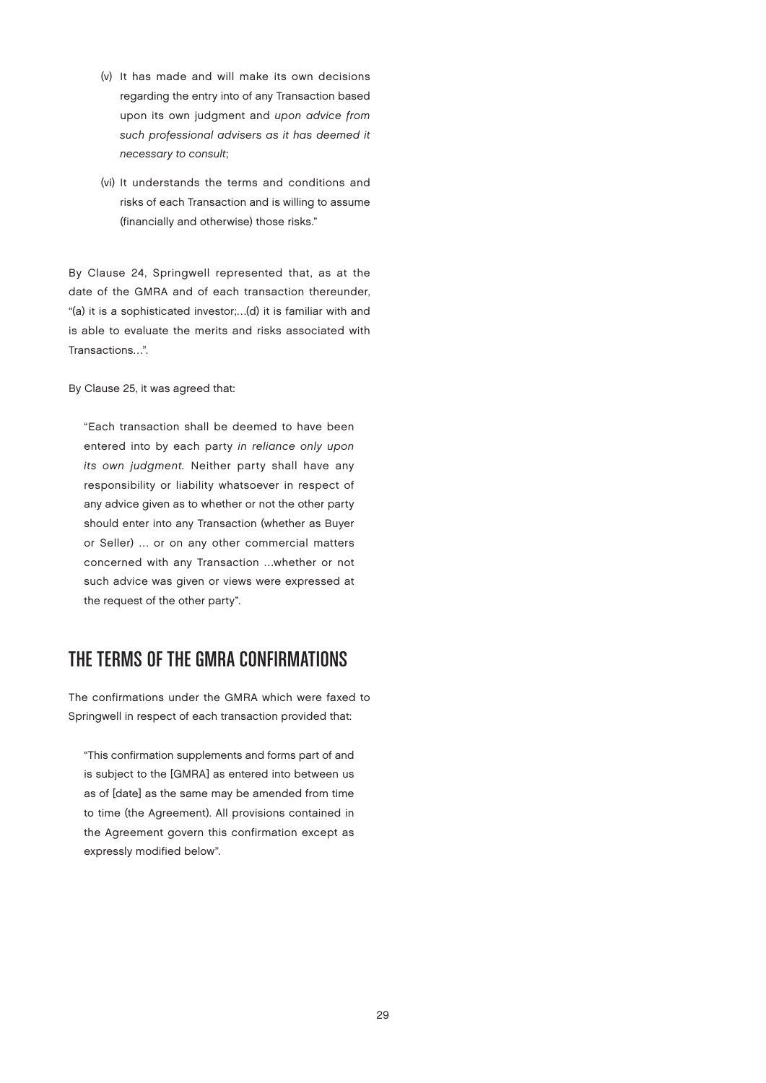- (v) It has made and will make its own decisions regarding the entry into of any Transaction based upon its own judgment and upon advice from such professional advisers as it has deemed it necessary to consult;
- (vi) It understands the terms and conditions and risks of each Transaction and is willing to assume (financially and otherwise) those risks."

By Clause 24, Springwell represented that, as at the date of the GMRA and of each transaction thereunder, "(a) it is a sophisticated investor;…(d) it is familiar with and is able to evaluate the merits and risks associated with Transactions…".

By Clause 25, it was agreed that:

"Each transaction shall be deemed to have been entered into by each party in reliance only upon its own judgment. Neither party shall have any responsibility or liability whatsoever in respect of any advice given as to whether or not the other party should enter into any Transaction (whether as Buyer or Seller) … or on any other commercial matters concerned with any Transaction …whether or not such advice was given or views were expressed at the request of the other party".

#### The Terms of the GMRA Confirmations

The confirmations under the GMRA which were faxed to Springwell in respect of each transaction provided that:

"This confirmation supplements and forms part of and is subject to the [GMRA] as entered into between us as of [date] as the same may be amended from time to time (the Agreement). All provisions contained in the Agreement govern this confirmation except as expressly modified below".